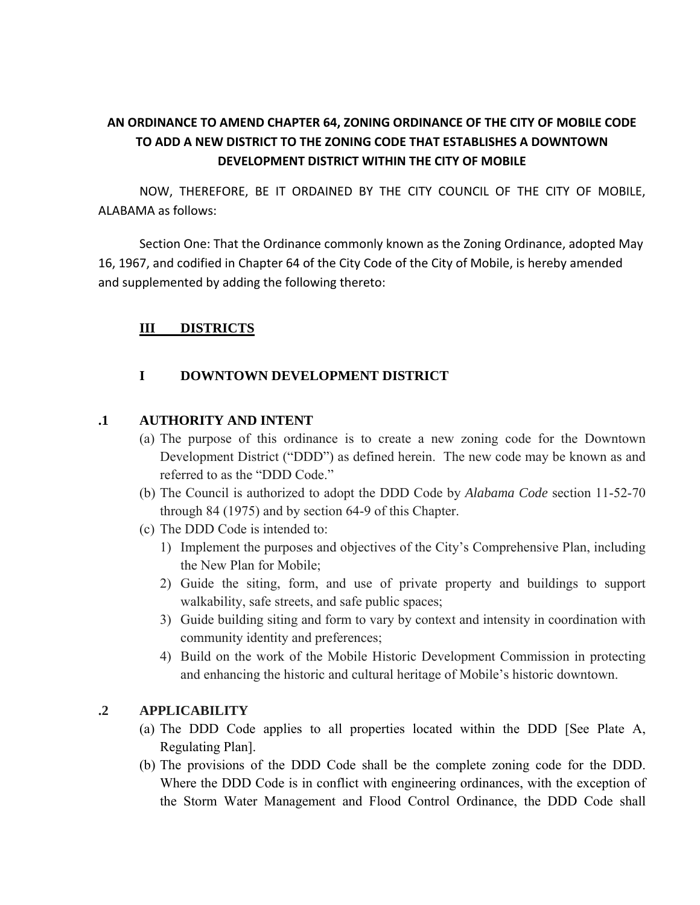# **AN ORDINANCE TO AMEND CHAPTER 64, ZONING ORDINANCE OF THE CITY OF MOBILE CODE TO ADD A NEW DISTRICT TO THE ZONING CODE THAT ESTABLISHES A DOWNTOWN DEVELOPMENT DISTRICT WITHIN THE CITY OF MOBILE**

NOW, THEREFORE, BE IT ORDAINED BY THE CITY COUNCIL OF THE CITY OF MOBILE, ALABAMA as follows:

Section One: That the Ordinance commonly known as the Zoning Ordinance, adopted May 16, 1967, and codified in Chapter 64 of the City Code of the City of Mobile, is hereby amended and supplemented by adding the following thereto:

# **III DISTRICTS**

### **I DOWNTOWN DEVELOPMENT DISTRICT**

### **.1 AUTHORITY AND INTENT**

- (a) The purpose of this ordinance is to create a new zoning code for the Downtown Development District ("DDD") as defined herein. The new code may be known as and referred to as the "DDD Code."
- (b) The Council is authorized to adopt the DDD Code by *Alabama Code* section 11-52-70 through 84 (1975) and by section 64-9 of this Chapter.
- (c) The DDD Code is intended to:
	- 1) Implement the purposes and objectives of the City's Comprehensive Plan, including the New Plan for Mobile;
	- 2) Guide the siting, form, and use of private property and buildings to support walkability, safe streets, and safe public spaces;
	- 3) Guide building siting and form to vary by context and intensity in coordination with community identity and preferences;
	- 4) Build on the work of the Mobile Historic Development Commission in protecting and enhancing the historic and cultural heritage of Mobile's historic downtown.

#### **.2 APPLICABILITY**

- (a) The DDD Code applies to all properties located within the DDD [See Plate A, Regulating Plan].
- (b) The provisions of the DDD Code shall be the complete zoning code for the DDD. Where the DDD Code is in conflict with engineering ordinances, with the exception of the Storm Water Management and Flood Control Ordinance, the DDD Code shall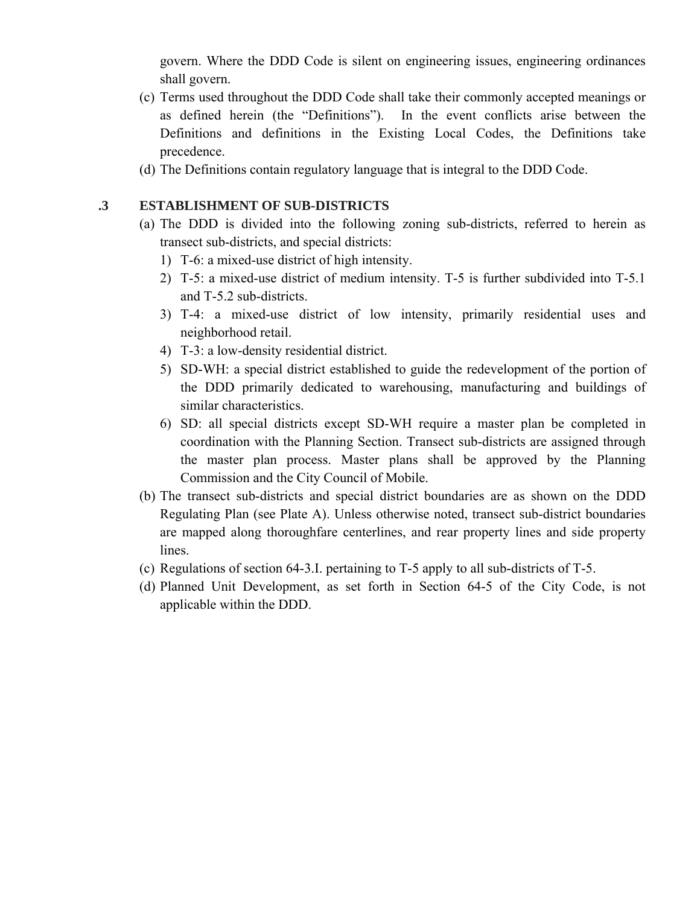govern. Where the DDD Code is silent on engineering issues, engineering ordinances shall govern.

- (c) Terms used throughout the DDD Code shall take their commonly accepted meanings or as defined herein (the "Definitions"). In the event conflicts arise between the Definitions and definitions in the Existing Local Codes, the Definitions take precedence.
- (d) The Definitions contain regulatory language that is integral to the DDD Code.

# **.3 ESTABLISHMENT OF SUB-DISTRICTS**

- (a) The DDD is divided into the following zoning sub-districts, referred to herein as transect sub-districts, and special districts:
	- 1) T-6: a mixed-use district of high intensity.
	- 2) T-5: a mixed-use district of medium intensity. T-5 is further subdivided into T-5.1 and T-5.2 sub-districts.
	- 3) T-4: a mixed-use district of low intensity, primarily residential uses and neighborhood retail.
	- 4) T-3: a low-density residential district.
	- 5) SD-WH: a special district established to guide the redevelopment of the portion of the DDD primarily dedicated to warehousing, manufacturing and buildings of similar characteristics.
	- 6) SD: all special districts except SD-WH require a master plan be completed in coordination with the Planning Section. Transect sub-districts are assigned through the master plan process. Master plans shall be approved by the Planning Commission and the City Council of Mobile.
- (b) The transect sub-districts and special district boundaries are as shown on the DDD Regulating Plan (see Plate A). Unless otherwise noted, transect sub-district boundaries are mapped along thoroughfare centerlines, and rear property lines and side property lines.
- (c) Regulations of section 64-3.I. pertaining to T-5 apply to all sub-districts of T-5.
- (d) Planned Unit Development, as set forth in Section 64-5 of the City Code, is not applicable within the DDD.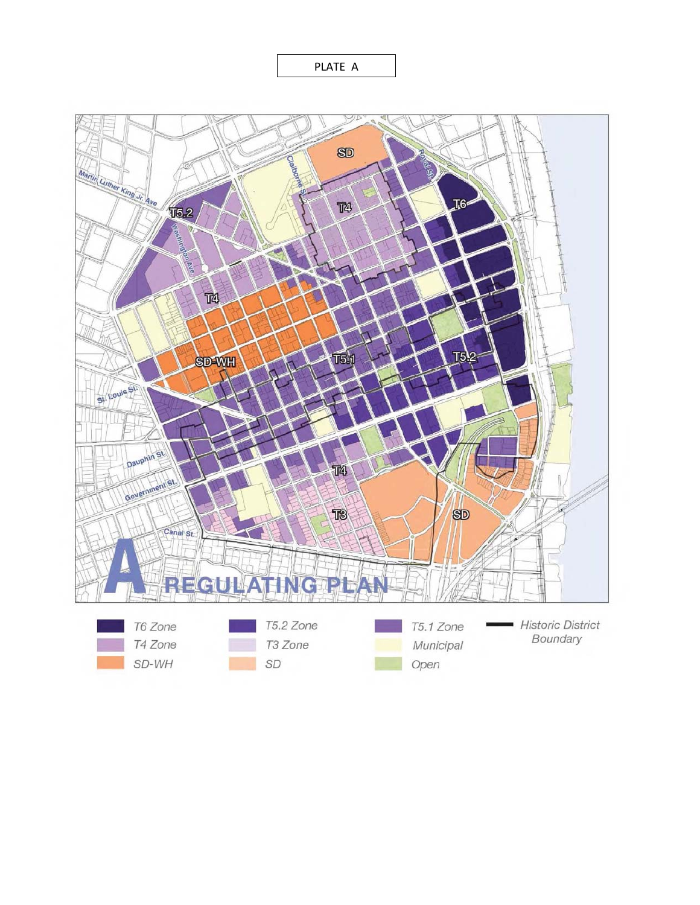PLATE A

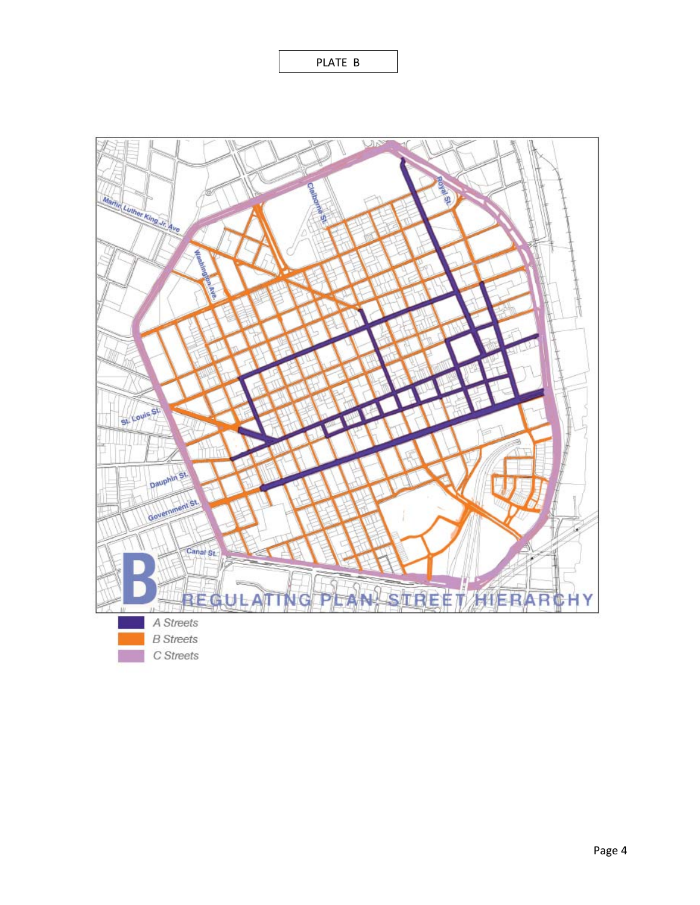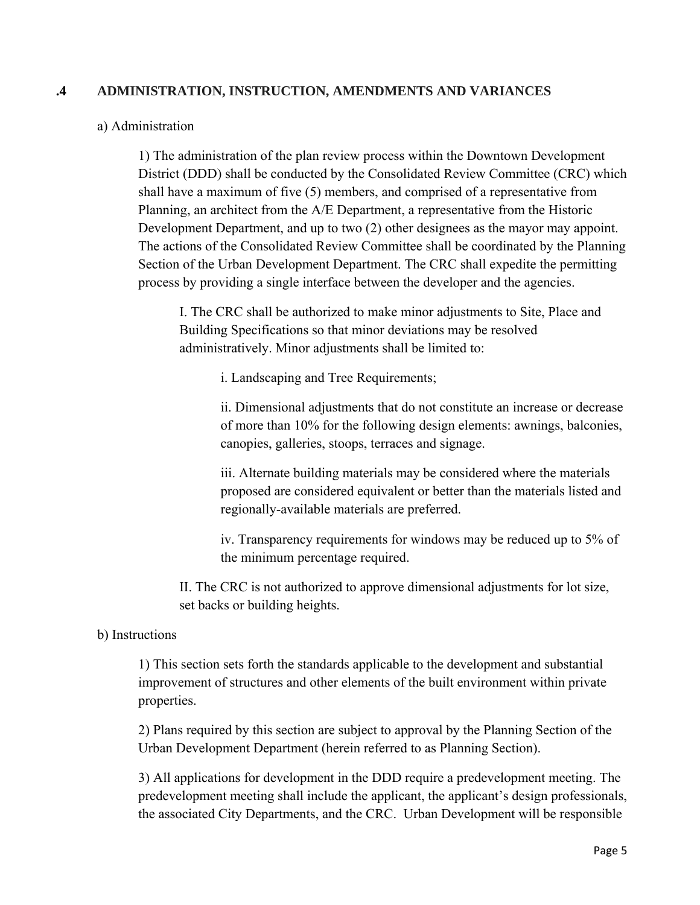# **.4 ADMINISTRATION, INSTRUCTION, AMENDMENTS AND VARIANCES**

### a) Administration

1) The administration of the plan review process within the Downtown Development District (DDD) shall be conducted by the Consolidated Review Committee (CRC) which shall have a maximum of five (5) members, and comprised of a representative from Planning, an architect from the A/E Department, a representative from the Historic Development Department, and up to two (2) other designees as the mayor may appoint. The actions of the Consolidated Review Committee shall be coordinated by the Planning Section of the Urban Development Department. The CRC shall expedite the permitting process by providing a single interface between the developer and the agencies.

I. The CRC shall be authorized to make minor adjustments to Site, Place and Building Specifications so that minor deviations may be resolved administratively. Minor adjustments shall be limited to:

i. Landscaping and Tree Requirements;

ii. Dimensional adjustments that do not constitute an increase or decrease of more than 10% for the following design elements: awnings, balconies, canopies, galleries, stoops, terraces and signage.

iii. Alternate building materials may be considered where the materials proposed are considered equivalent or better than the materials listed and regionally-available materials are preferred.

iv. Transparency requirements for windows may be reduced up to 5% of the minimum percentage required.

II. The CRC is not authorized to approve dimensional adjustments for lot size, set backs or building heights.

### b) Instructions

1) This section sets forth the standards applicable to the development and substantial improvement of structures and other elements of the built environment within private properties.

2) Plans required by this section are subject to approval by the Planning Section of the Urban Development Department (herein referred to as Planning Section).

3) All applications for development in the DDD require a predevelopment meeting. The predevelopment meeting shall include the applicant, the applicant's design professionals, the associated City Departments, and the CRC. Urban Development will be responsible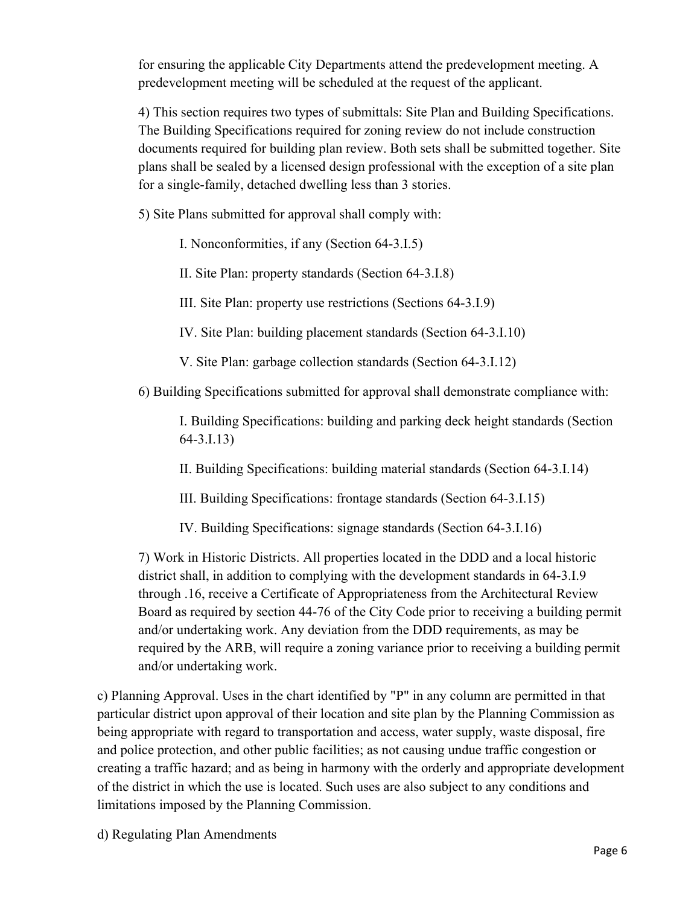for ensuring the applicable City Departments attend the predevelopment meeting. A predevelopment meeting will be scheduled at the request of the applicant.

4) This section requires two types of submittals: Site Plan and Building Specifications. The Building Specifications required for zoning review do not include construction documents required for building plan review. Both sets shall be submitted together. Site plans shall be sealed by a licensed design professional with the exception of a site plan for a single-family, detached dwelling less than 3 stories.

5) Site Plans submitted for approval shall comply with:

I. Nonconformities, if any (Section 64-3.I.5)

II. Site Plan: property standards (Section 64-3.I.8)

III. Site Plan: property use restrictions (Sections 64-3.I.9)

IV. Site Plan: building placement standards (Section 64-3.I.10)

V. Site Plan: garbage collection standards (Section 64-3.I.12)

6) Building Specifications submitted for approval shall demonstrate compliance with:

I. Building Specifications: building and parking deck height standards (Section 64-3.I.13)

II. Building Specifications: building material standards (Section 64-3.I.14)

III. Building Specifications: frontage standards (Section 64-3.I.15)

IV. Building Specifications: signage standards (Section 64-3.I.16)

7) Work in Historic Districts. All properties located in the DDD and a local historic district shall, in addition to complying with the development standards in 64-3.I.9 through .16, receive a Certificate of Appropriateness from the Architectural Review Board as required by section 44-76 of the City Code prior to receiving a building permit and/or undertaking work. Any deviation from the DDD requirements, as may be required by the ARB, will require a zoning variance prior to receiving a building permit and/or undertaking work.

c) Planning Approval. Uses in the chart identified by "P" in any column are permitted in that particular district upon approval of their location and site plan by the Planning Commission as being appropriate with regard to transportation and access, water supply, waste disposal, fire and police protection, and other public facilities; as not causing undue traffic congestion or creating a traffic hazard; and as being in harmony with the orderly and appropriate development of the district in which the use is located. Such uses are also subject to any conditions and limitations imposed by the Planning Commission.

d) Regulating Plan Amendments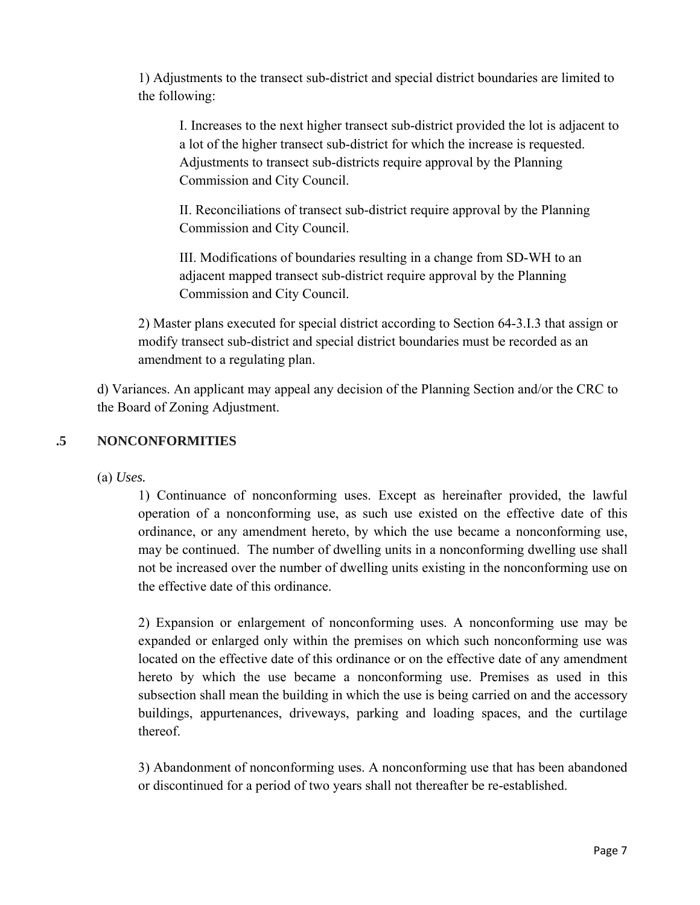1) Adjustments to the transect sub-district and special district boundaries are limited to the following:

I. Increases to the next higher transect sub-district provided the lot is adjacent to a lot of the higher transect sub-district for which the increase is requested. Adjustments to transect sub-districts require approval by the Planning Commission and City Council.

II. Reconciliations of transect sub-district require approval by the Planning Commission and City Council.

III. Modifications of boundaries resulting in a change from SD-WH to an adjacent mapped transect sub-district require approval by the Planning Commission and City Council.

2) Master plans executed for special district according to Section 64-3.I.3 that assign or modify transect sub-district and special district boundaries must be recorded as an amendment to a regulating plan.

d) Variances. An applicant may appeal any decision of the Planning Section and/or the CRC to the Board of Zoning Adjustment.

# **.5 NONCONFORMITIES**

(a) *Uses.*

1) Continuance of nonconforming uses. Except as hereinafter provided, the lawful operation of a nonconforming use, as such use existed on the effective date of this ordinance, or any amendment hereto, by which the use became a nonconforming use, may be continued. The number of dwelling units in a nonconforming dwelling use shall not be increased over the number of dwelling units existing in the nonconforming use on the effective date of this ordinance.

2) Expansion or enlargement of nonconforming uses. A nonconforming use may be expanded or enlarged only within the premises on which such nonconforming use was located on the effective date of this ordinance or on the effective date of any amendment hereto by which the use became a nonconforming use. Premises as used in this subsection shall mean the building in which the use is being carried on and the accessory buildings, appurtenances, driveways, parking and loading spaces, and the curtilage thereof.

3) Abandonment of nonconforming uses. A nonconforming use that has been abandoned or discontinued for a period of two years shall not thereafter be re-established.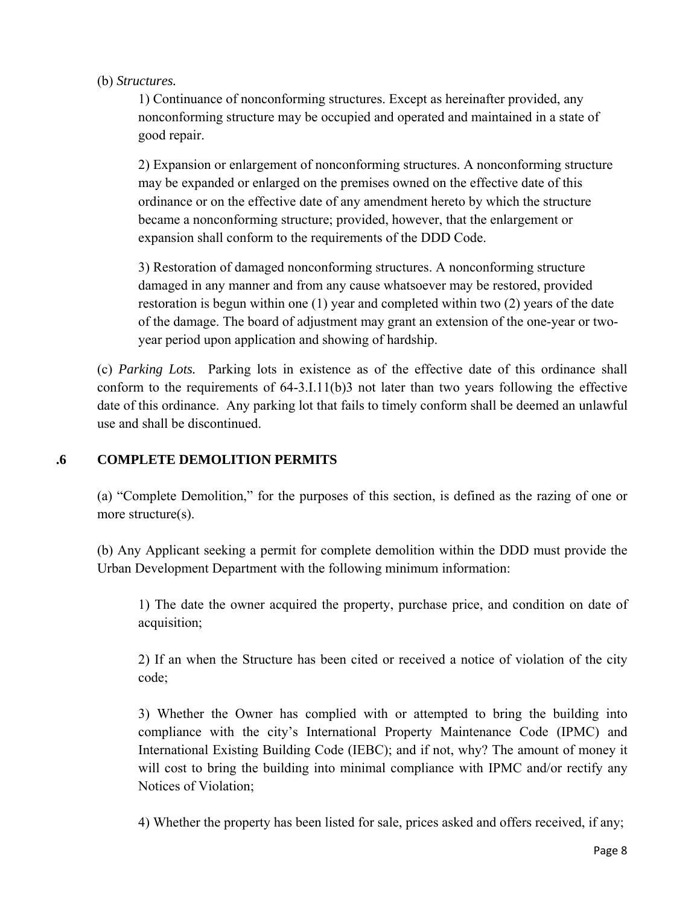### (b) *Structures.*

1) Continuance of nonconforming structures. Except as hereinafter provided, any nonconforming structure may be occupied and operated and maintained in a state of good repair.

2) Expansion or enlargement of nonconforming structures. A nonconforming structure may be expanded or enlarged on the premises owned on the effective date of this ordinance or on the effective date of any amendment hereto by which the structure became a nonconforming structure; provided, however, that the enlargement or expansion shall conform to the requirements of the DDD Code.

3) Restoration of damaged nonconforming structures. A nonconforming structure damaged in any manner and from any cause whatsoever may be restored, provided restoration is begun within one (1) year and completed within two (2) years of the date of the damage. The board of adjustment may grant an extension of the one-year or twoyear period upon application and showing of hardship.

(c) *Parking Lots.* Parking lots in existence as of the effective date of this ordinance shall conform to the requirements of 64-3.I.11(b)3 not later than two years following the effective date of this ordinance. Any parking lot that fails to timely conform shall be deemed an unlawful use and shall be discontinued.

### **.6 COMPLETE DEMOLITION PERMITS**

(a) "Complete Demolition," for the purposes of this section, is defined as the razing of one or more structure(s).

(b) Any Applicant seeking a permit for complete demolition within the DDD must provide the Urban Development Department with the following minimum information:

1) The date the owner acquired the property, purchase price, and condition on date of acquisition;

2) If an when the Structure has been cited or received a notice of violation of the city code;

3) Whether the Owner has complied with or attempted to bring the building into compliance with the city's International Property Maintenance Code (IPMC) and International Existing Building Code (IEBC); and if not, why? The amount of money it will cost to bring the building into minimal compliance with IPMC and/or rectify any Notices of Violation;

4) Whether the property has been listed for sale, prices asked and offers received, if any;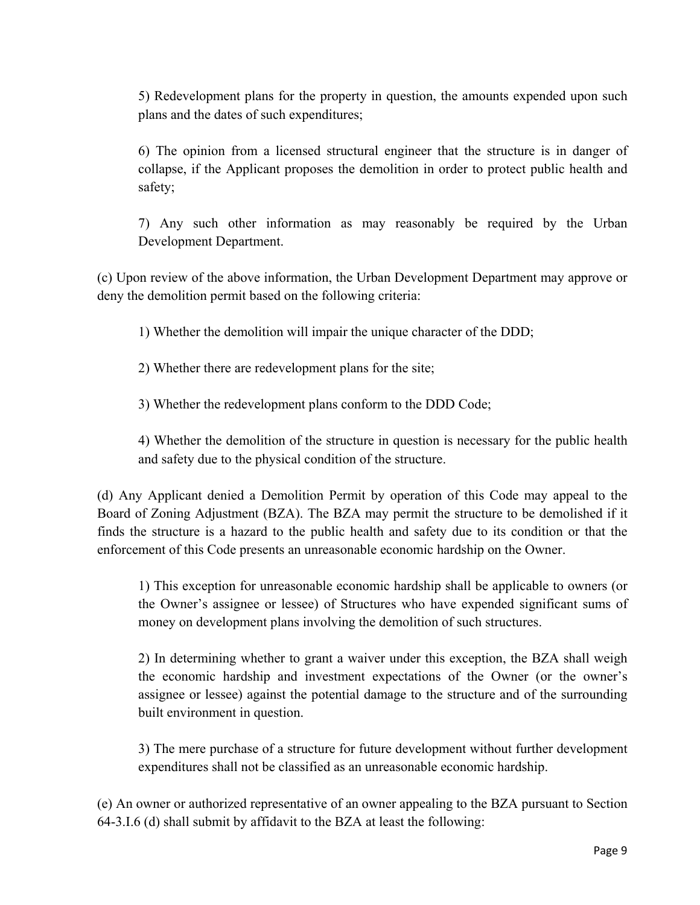5) Redevelopment plans for the property in question, the amounts expended upon such plans and the dates of such expenditures;

6) The opinion from a licensed structural engineer that the structure is in danger of collapse, if the Applicant proposes the demolition in order to protect public health and safety;

7) Any such other information as may reasonably be required by the Urban Development Department.

(c) Upon review of the above information, the Urban Development Department may approve or deny the demolition permit based on the following criteria:

1) Whether the demolition will impair the unique character of the DDD;

2) Whether there are redevelopment plans for the site;

3) Whether the redevelopment plans conform to the DDD Code;

4) Whether the demolition of the structure in question is necessary for the public health and safety due to the physical condition of the structure.

(d) Any Applicant denied a Demolition Permit by operation of this Code may appeal to the Board of Zoning Adjustment (BZA). The BZA may permit the structure to be demolished if it finds the structure is a hazard to the public health and safety due to its condition or that the enforcement of this Code presents an unreasonable economic hardship on the Owner.

1) This exception for unreasonable economic hardship shall be applicable to owners (or the Owner's assignee or lessee) of Structures who have expended significant sums of money on development plans involving the demolition of such structures.

2) In determining whether to grant a waiver under this exception, the BZA shall weigh the economic hardship and investment expectations of the Owner (or the owner's assignee or lessee) against the potential damage to the structure and of the surrounding built environment in question.

3) The mere purchase of a structure for future development without further development expenditures shall not be classified as an unreasonable economic hardship.

(e) An owner or authorized representative of an owner appealing to the BZA pursuant to Section 64-3.I.6 (d) shall submit by affidavit to the BZA at least the following: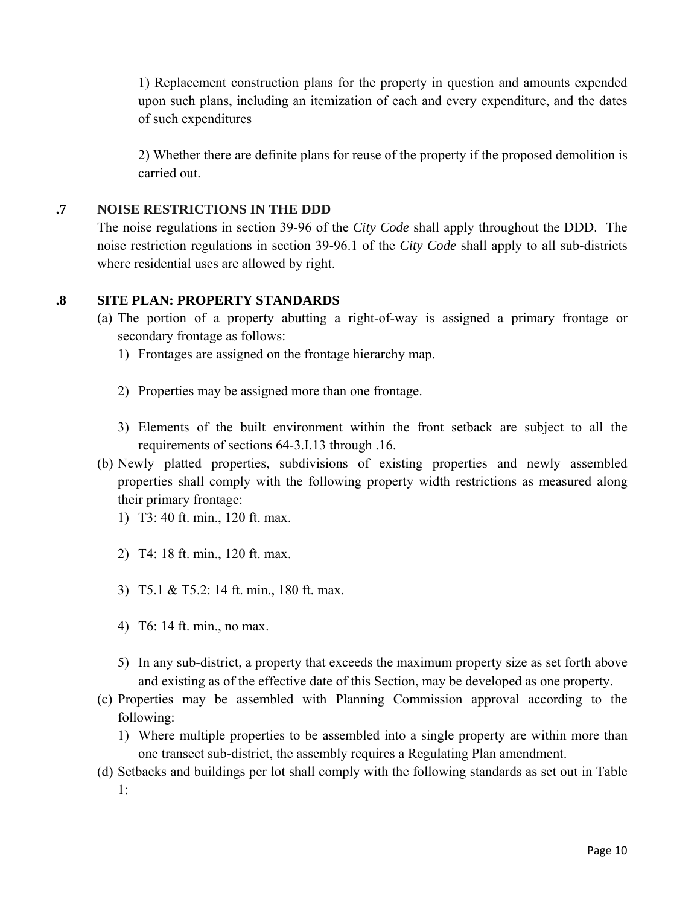1) Replacement construction plans for the property in question and amounts expended upon such plans, including an itemization of each and every expenditure, and the dates of such expenditures

2) Whether there are definite plans for reuse of the property if the proposed demolition is carried out.

### **.7 NOISE RESTRICTIONS IN THE DDD**

The noise regulations in section 39-96 of the *City Code* shall apply throughout the DDD. The noise restriction regulations in section 39-96.1 of the *City Code* shall apply to all sub-districts where residential uses are allowed by right.

# **.8 SITE PLAN: PROPERTY STANDARDS**

- (a) The portion of a property abutting a right-of-way is assigned a primary frontage or secondary frontage as follows:
	- 1) Frontages are assigned on the frontage hierarchy map.
	- 2) Properties may be assigned more than one frontage.
	- 3) Elements of the built environment within the front setback are subject to all the requirements of sections 64-3.I.13 through .16.
- (b) Newly platted properties, subdivisions of existing properties and newly assembled properties shall comply with the following property width restrictions as measured along their primary frontage:
	- 1) T3: 40 ft. min., 120 ft. max.
	- 2) T4: 18 ft. min., 120 ft. max.
	- 3) T5.1 & T5.2: 14 ft. min., 180 ft. max.
	- 4) T6: 14 ft. min., no max.
	- 5) In any sub-district, a property that exceeds the maximum property size as set forth above and existing as of the effective date of this Section, may be developed as one property.
- (c) Properties may be assembled with Planning Commission approval according to the following:
	- 1) Where multiple properties to be assembled into a single property are within more than one transect sub-district, the assembly requires a Regulating Plan amendment.
- (d) Setbacks and buildings per lot shall comply with the following standards as set out in Table 1: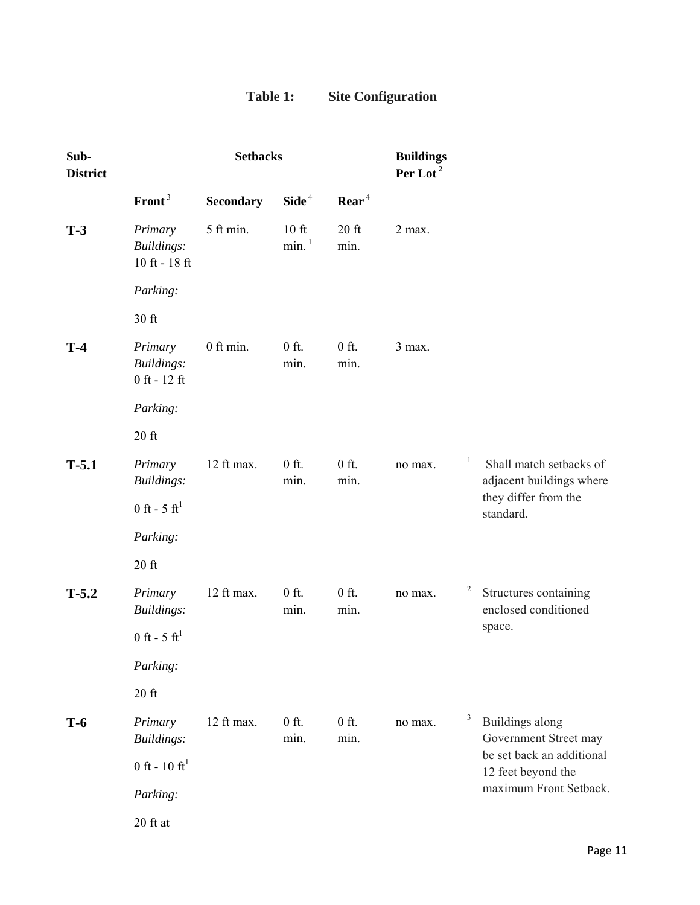# **Table 1: Site Configuration**

| Sub-<br><b>District</b> |                                                | <b>Setbacks</b>  |                                |                 | <b>Buildings</b><br>Per Lot <sup>2</sup> |                         |                                                     |  |                                                 |
|-------------------------|------------------------------------------------|------------------|--------------------------------|-----------------|------------------------------------------|-------------------------|-----------------------------------------------------|--|-------------------------------------------------|
|                         | Front <sup>3</sup>                             | <b>Secondary</b> | Side <sup>4</sup>              | $\text{Rear}^4$ |                                          |                         |                                                     |  |                                                 |
| $T-3$                   | Primary<br>Buildings:<br>$10$ ft - $18$ ft     | 5 ft min.        | $10$ ft<br>$min.$ <sup>1</sup> | $20$ ft<br>min. | 2 max.                                   |                         |                                                     |  |                                                 |
|                         | Parking:                                       |                  |                                |                 |                                          |                         |                                                     |  |                                                 |
|                         | 30 ft                                          |                  |                                |                 |                                          |                         |                                                     |  |                                                 |
| $T-4$                   | Primary<br><b>Buildings:</b><br>$0$ ft - 12 ft | 0 ft min.        | $0$ ft.<br>min.                | $0$ ft.<br>min. | 3 max.                                   |                         |                                                     |  |                                                 |
|                         | Parking:                                       |                  |                                |                 |                                          |                         |                                                     |  |                                                 |
|                         | $20$ ft                                        |                  |                                |                 |                                          |                         |                                                     |  |                                                 |
| $T-5.1$                 | Primary<br>Buildings:                          | 12 ft max.       | $0$ ft.<br>min.                | $0$ ft.<br>min. | no max.                                  | $\mathbf{1}$            | Shall match setbacks of<br>adjacent buildings where |  |                                                 |
|                         | 0 ft - 5 ft <sup>1</sup>                       |                  |                                |                 |                                          |                         | they differ from the<br>standard.                   |  |                                                 |
|                         | Parking:                                       |                  |                                |                 |                                          |                         |                                                     |  |                                                 |
|                         | $20$ ft                                        |                  |                                |                 |                                          |                         |                                                     |  |                                                 |
| $T-5.2$                 | Primary<br>Buildings:                          | 12 ft max.       | $0$ ft.<br>min.                | $0$ ft.<br>min. | no max.                                  | $\overline{\mathbf{c}}$ | Structures containing<br>enclosed conditioned       |  |                                                 |
|                         | 0 ft - 5 ft <sup>1</sup>                       |                  |                                |                 |                                          |                         | space.                                              |  |                                                 |
|                         | Parking:                                       |                  |                                |                 |                                          |                         |                                                     |  |                                                 |
|                         | $20$ ft                                        |                  |                                |                 |                                          |                         |                                                     |  |                                                 |
| $T-6$                   | Primary<br><b>Buildings:</b>                   | 12 ft max.       | $0$ ft.<br>min.                | $0$ ft.<br>min. | no max.                                  | 3                       | Buildings along<br>Government Street may            |  |                                                 |
|                         | 0 ft - $10 \text{ ft}^1$                       |                  |                                |                 |                                          |                         |                                                     |  | be set back an additional<br>12 feet beyond the |
|                         | Parking:                                       |                  |                                |                 |                                          |                         | maximum Front Setback.                              |  |                                                 |
|                         | $20$ ft at                                     |                  |                                |                 |                                          |                         |                                                     |  |                                                 |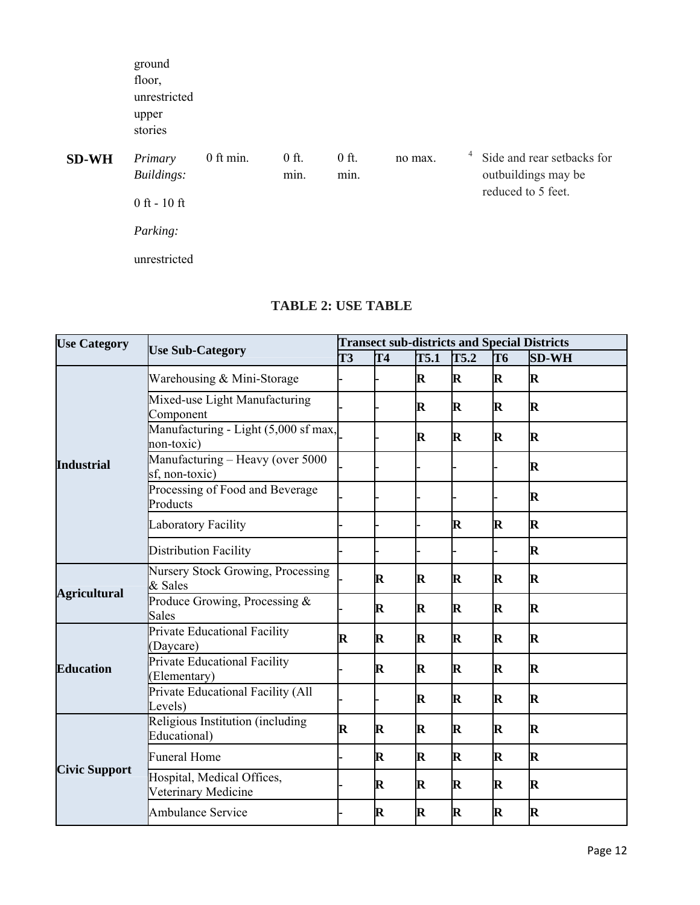|              | ground<br>floor,<br>unrestricted<br>upper<br>stories |           |                 |                 |         |   |                                                   |
|--------------|------------------------------------------------------|-----------|-----------------|-----------------|---------|---|---------------------------------------------------|
| <b>SD-WH</b> | Primary<br>Buildings:                                | 0 ft min. | $0$ ft.<br>min. | $0$ ft.<br>min. | no max. | 4 | Side and rear setbacks for<br>outbuildings may be |
|              | $0$ ft - $10$ ft                                     |           |                 |                 |         |   | reduced to 5 feet.                                |
|              | Parking:                                             |           |                 |                 |         |   |                                                   |
|              | unrestricted                                         |           |                 |                 |         |   |                                                   |

| <b>Use Category</b>  | <b>Use Sub-Category</b>                             | <b>Transect sub-districts and Special Districts</b> |             |             |             |              |             |  |
|----------------------|-----------------------------------------------------|-----------------------------------------------------|-------------|-------------|-------------|--------------|-------------|--|
|                      |                                                     | T3<br>T4                                            | T5.1        | T5.2        | T6          | <b>SD-WH</b> |             |  |
|                      | Warehousing & Mini-Storage                          |                                                     |             | $\mathbf R$ | R           | $\mathbf R$  | R           |  |
|                      | Mixed-use Light Manufacturing<br>Component          |                                                     |             | R           | $\bf R$     | $\mathbf R$  | $\bf R$     |  |
|                      | Manufacturing - Light (5,000 sf max,<br>non-toxic)  |                                                     |             | $\mathbf R$ | $\mathbf R$ | $\mathbf R$  | $\mathbf R$ |  |
| <b>Industrial</b>    | Manufacturing - Heavy (over 5000<br>sf, non-toxic)  |                                                     |             |             |             |              | $\bf R$     |  |
|                      | Processing of Food and Beverage<br>Products         |                                                     |             |             |             |              | $\mathbf R$ |  |
|                      | Laboratory Facility                                 |                                                     |             |             | $\mathbf R$ | $\mathbf R$  | $\bf R$     |  |
|                      | Distribution Facility                               |                                                     |             |             |             |              | $\mathbf R$ |  |
|                      | <b>Nursery Stock Growing, Processing</b><br>& Sales |                                                     | $\mathbf R$ | $\mathbf R$ | R           | R            | $\mathbf R$ |  |
| <b>Agricultural</b>  | Produce Growing, Processing &<br><b>Sales</b>       |                                                     | $\mathbf R$ | $\mathbf R$ | $\mathbf R$ | $\mathbf R$  | $\mathbf R$ |  |
|                      | Private Educational Facility<br>(Daycare)           | R                                                   | $\bf R$     | $\mathbf R$ | $\bf R$     | $\mathbf R$  | $\bf R$     |  |
| <b>Education</b>     | Private Educational Facility<br>(Elementary)        |                                                     | $\mathbf R$ | R           | $\bf R$     | $\mathbf R$  | $\bf R$     |  |
|                      | Private Educational Facility (All<br>Levels)        |                                                     |             | $\mathbf R$ | R           | R            | $\bf R$     |  |
|                      | Religious Institution (including<br>Educational)    | R                                                   | $\bf R$     | $\mathbf R$ | $\bf R$     | $\mathbf R$  | $\bf R$     |  |
|                      | <b>Funeral Home</b>                                 |                                                     | $\mathbf R$ | $\mathbf R$ | $\bf R$     | $\mathbf R$  | $\bf R$     |  |
| <b>Civic Support</b> | Hospital, Medical Offices,<br>Veterinary Medicine   |                                                     | $\mathbf R$ | $\mathbf R$ | $\mathbf R$ | $\mathbf R$  | $\mathbf R$ |  |
|                      | <b>Ambulance Service</b>                            |                                                     | $\mathbf R$ | $\mathbf R$ | $\bf R$     | $\mathbf R$  | $\mathbf R$ |  |

# **TABLE 2: USE TABLE**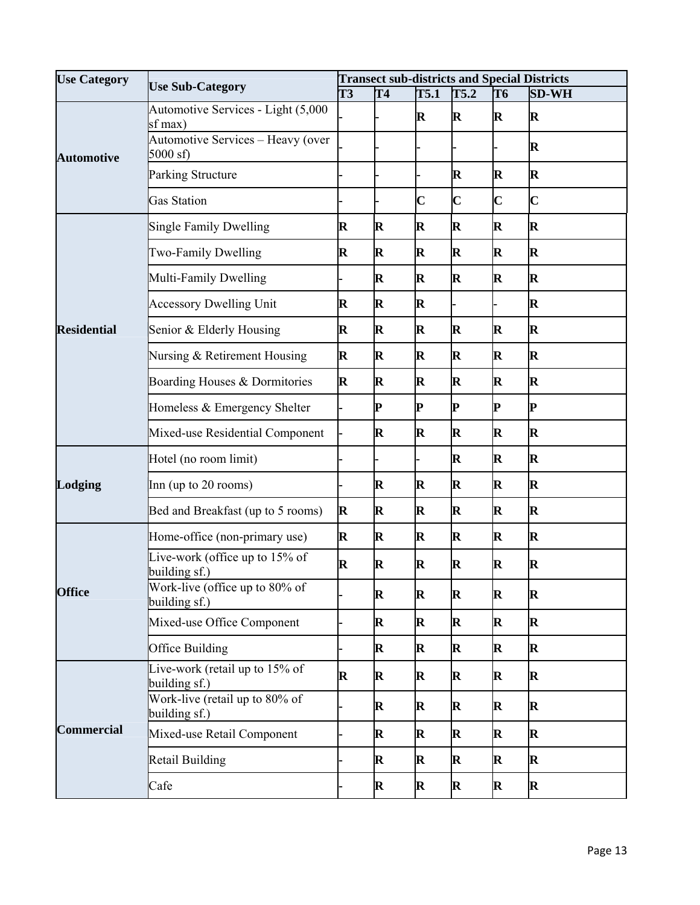| <b>Use Category</b> | <b>Use Sub-Category</b>                            | <b>Transect sub-districts and Special Districts</b><br>T <sub>3</sub> |             |                         |                         |                         |                         |  |
|---------------------|----------------------------------------------------|-----------------------------------------------------------------------|-------------|-------------------------|-------------------------|-------------------------|-------------------------|--|
|                     |                                                    |                                                                       | T4          | T5.1                    | T5.2                    | T6                      | <b>SD-WH</b>            |  |
|                     | Automotive Services - Light (5,000<br>sf max)      |                                                                       |             | $\mathbf R$             | R                       | $\mathbf R$             | $\mathbf R$             |  |
| <b>Automotive</b>   | Automotive Services - Heavy (over<br>$5000$ sf)    |                                                                       |             |                         |                         |                         | $\mathbf R$             |  |
|                     | <b>Parking Structure</b>                           |                                                                       |             |                         | $\mathbf R$             | R                       | $\mathbf R$             |  |
|                     | <b>Gas Station</b>                                 |                                                                       |             | $\overline{\mathbf{C}}$ | $\overline{\mathbf{C}}$ | $\overline{\mathbf{C}}$ | $\overline{\mathbf{C}}$ |  |
|                     | <b>Single Family Dwelling</b><br>$\bf R$           |                                                                       | $\mathbf R$ | $\mathbf R$             | R                       | $\bf R$                 | R                       |  |
|                     | Two-Family Dwelling                                | $\bf R$                                                               | $\bf R$     | $\mathbf R$             | $\bf R$                 | $\mathbf R$             | R                       |  |
|                     | Multi-Family Dwelling                              |                                                                       | $\bf R$     | $\mathbf R$             | R                       | $\bf R$                 | R                       |  |
|                     | <b>Accessory Dwelling Unit</b>                     | $\mathbf R$                                                           | $\mathbf R$ | $\mathbf R$             |                         |                         | $\mathbf R$             |  |
| <b>Residential</b>  | Senior & Elderly Housing                           | $\mathbf R$                                                           | $\mathbf R$ | $\mathbf R$             | R                       | $\bf R$                 | R                       |  |
|                     | Nursing & Retirement Housing                       | $\mathbf R$                                                           | $\mathbf R$ | $\mathbf R$             | $\mathbf R$             | $\mathbf R$             | $\bf R$                 |  |
|                     | Boarding Houses & Dormitories                      | $\mathbf R$                                                           | $\bf R$     | $\mathbf R$             | R                       | $\bf R$                 | R                       |  |
|                     | Homeless & Emergency Shelter                       |                                                                       | P           | P                       | P                       | P                       | P                       |  |
|                     | Mixed-use Residential Component                    |                                                                       | $\mathbf R$ | $\mathbf R$             | R                       | $\bf R$                 | R                       |  |
|                     | Hotel (no room limit)                              |                                                                       |             |                         | $\mathbf R$             | $\mathbf R$             | R                       |  |
| Lodging             | Inn (up to 20 rooms)                               |                                                                       | $\mathbf R$ | $\mathbf R$             | $\mathbf R$             | $\bf R$                 | R                       |  |
|                     | Bed and Breakfast (up to 5 rooms)                  | $\bf R$                                                               | $\mathbf R$ | $\mathbf R$             | $\bf R$                 | $\bf R$                 | R                       |  |
|                     | Home-office (non-primary use)                      | $\mathbf R$                                                           | $\bf R$     | $\mathbf R$             | R                       | $\mathbf R$             | R                       |  |
|                     | Live-work (office up to 15% of<br>building sf.)    | $\mathbf R$                                                           | $\mathbf R$ | $\mathbf R$             | R                       | $\mathbf R$             | R                       |  |
| <b>Office</b>       | Work-live (office up to 80% of<br>building sf.)    |                                                                       | $\mathbf R$ | R                       | R                       | $\mathbf R$             | R                       |  |
|                     | Mixed-use Office Component                         |                                                                       | $\mathbf R$ | $\mathbf R$             | $\mathbf R$             | $\mathbf R$             | R                       |  |
|                     | Office Building                                    |                                                                       | $\bf R$     | $\mathbf R$             | $\mathbf R$             | $\mathbf R$             | R                       |  |
|                     | Live-work (retail up to 15% of<br>building sf.)    | $\mathbf R$                                                           | $\mathbf R$ | $\mathbf R$             | $\mathbf R$             | $\mathbf R$             | $\bf R$                 |  |
|                     | Work-live (retail up to $80\%$ of<br>building sf.) |                                                                       | $\mathbf R$ | $\mathbf R$             | $\mathbf R$             | $\mathbf R$             | $\bf R$                 |  |
| <b>Commercial</b>   | Mixed-use Retail Component                         |                                                                       | $\bf R$     | $\mathbf R$             | $\mathbf R$             | $\mathbf R$             | R                       |  |
|                     | Retail Building                                    |                                                                       | $\mathbf R$ | $\mathbf R$             | $\mathbf R$             | $\mathbf R$             | R                       |  |
|                     | Cafe                                               |                                                                       | $\mathbf R$ | R                       | $\mathbf R$             | $\mathbf R$             | $\bf R$                 |  |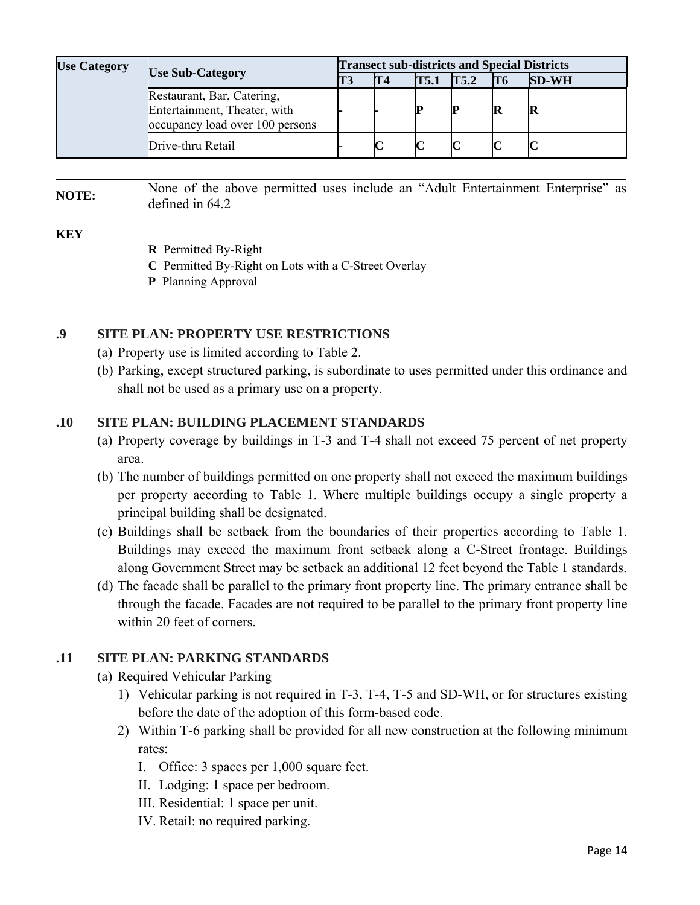| <b>Use Category</b> | <b>Use Sub-Category</b>                                                                       |  | <b>Transect sub-districts and Special Districts</b> |      |      |                |              |  |  |
|---------------------|-----------------------------------------------------------------------------------------------|--|-----------------------------------------------------|------|------|----------------|--------------|--|--|
|                     |                                                                                               |  | T <sub>4</sub>                                      | T5.1 | T5.2 | T <sub>6</sub> | <b>SD-WH</b> |  |  |
|                     | Restaurant, Bar, Catering,<br>Entertainment, Theater, with<br>occupancy load over 100 persons |  |                                                     |      | IP   |                | R            |  |  |
|                     | Drive-thru Retail                                                                             |  |                                                     |      |      |                |              |  |  |

# **NOTE:** None of the above permitted uses include an "Adult Entertainment Enterprise" as defined in 64.2

#### **KEY**

- **R** Permitted By-Right
- **C** Permitted By-Right on Lots with a C-Street Overlay
- **P** Planning Approval

# **.9 SITE PLAN: PROPERTY USE RESTRICTIONS**

- (a) Property use is limited according to Table 2.
- (b) Parking, except structured parking, is subordinate to uses permitted under this ordinance and shall not be used as a primary use on a property.

# **.10 SITE PLAN: BUILDING PLACEMENT STANDARDS**

- (a) Property coverage by buildings in T-3 and T-4 shall not exceed 75 percent of net property area.
- (b) The number of buildings permitted on one property shall not exceed the maximum buildings per property according to Table 1. Where multiple buildings occupy a single property a principal building shall be designated.
- (c) Buildings shall be setback from the boundaries of their properties according to Table 1. Buildings may exceed the maximum front setback along a C-Street frontage. Buildings along Government Street may be setback an additional 12 feet beyond the Table 1 standards.
- (d) The facade shall be parallel to the primary front property line. The primary entrance shall be through the facade. Facades are not required to be parallel to the primary front property line within 20 feet of corners.

# **.11 SITE PLAN: PARKING STANDARDS**

- (a) Required Vehicular Parking
	- 1) Vehicular parking is not required in T-3, T-4, T-5 and SD-WH, or for structures existing before the date of the adoption of this form-based code.
	- 2) Within T-6 parking shall be provided for all new construction at the following minimum rates:
		- I. Office: 3 spaces per 1,000 square feet.
		- II. Lodging: 1 space per bedroom.
		- III. Residential: 1 space per unit.
		- IV. Retail: no required parking.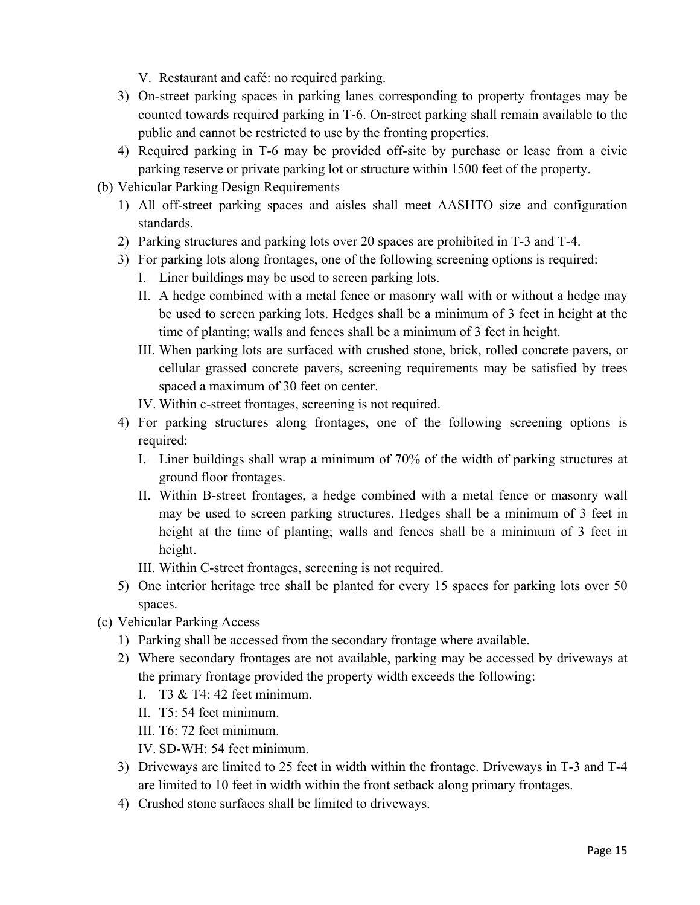V. Restaurant and café: no required parking.

- 3) On-street parking spaces in parking lanes corresponding to property frontages may be counted towards required parking in T-6. On-street parking shall remain available to the public and cannot be restricted to use by the fronting properties.
- 4) Required parking in T-6 may be provided off-site by purchase or lease from a civic parking reserve or private parking lot or structure within 1500 feet of the property.
- (b) Vehicular Parking Design Requirements
	- 1) All off-street parking spaces and aisles shall meet AASHTO size and configuration standards.
	- 2) Parking structures and parking lots over 20 spaces are prohibited in T-3 and T-4.
	- 3) For parking lots along frontages, one of the following screening options is required:
		- I. Liner buildings may be used to screen parking lots.
		- II. A hedge combined with a metal fence or masonry wall with or without a hedge may be used to screen parking lots. Hedges shall be a minimum of 3 feet in height at the time of planting; walls and fences shall be a minimum of 3 feet in height.
		- III. When parking lots are surfaced with crushed stone, brick, rolled concrete pavers, or cellular grassed concrete pavers, screening requirements may be satisfied by trees spaced a maximum of 30 feet on center.
		- IV. Within c-street frontages, screening is not required.
	- 4) For parking structures along frontages, one of the following screening options is required:
		- I. Liner buildings shall wrap a minimum of 70% of the width of parking structures at ground floor frontages.
		- II. Within B-street frontages, a hedge combined with a metal fence or masonry wall may be used to screen parking structures. Hedges shall be a minimum of 3 feet in height at the time of planting; walls and fences shall be a minimum of 3 feet in height.
		- III. Within C-street frontages, screening is not required.
	- 5) One interior heritage tree shall be planted for every 15 spaces for parking lots over 50 spaces.
- (c) Vehicular Parking Access
	- 1) Parking shall be accessed from the secondary frontage where available.
	- 2) Where secondary frontages are not available, parking may be accessed by driveways at the primary frontage provided the property width exceeds the following:
		- I. T3  $&$  T4: 42 feet minimum.
		- II. T5: 54 feet minimum.
		- III. T6: 72 feet minimum.
		- IV. SD-WH: 54 feet minimum.
	- 3) Driveways are limited to 25 feet in width within the frontage. Driveways in T-3 and T-4 are limited to 10 feet in width within the front setback along primary frontages.
	- 4) Crushed stone surfaces shall be limited to driveways.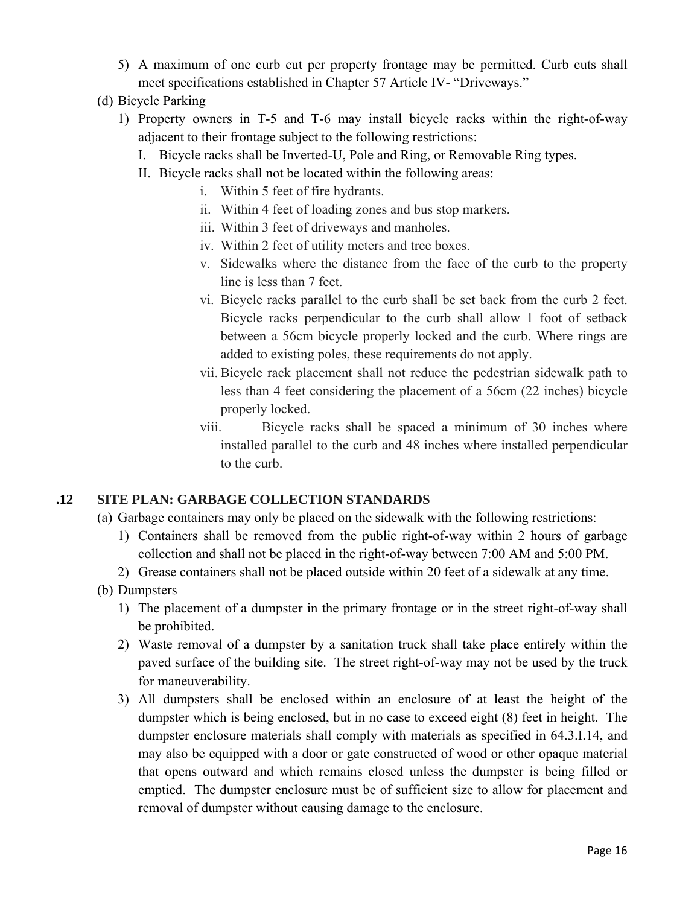- 5) A maximum of one curb cut per property frontage may be permitted. Curb cuts shall meet specifications established in Chapter 57 Article IV- "Driveways."
- (d) Bicycle Parking
	- 1) Property owners in T-5 and T-6 may install bicycle racks within the right-of-way adjacent to their frontage subject to the following restrictions:
		- I. Bicycle racks shall be Inverted-U, Pole and Ring, or Removable Ring types.
		- II. Bicycle racks shall not be located within the following areas:
			- i. Within 5 feet of fire hydrants.
			- ii. Within 4 feet of loading zones and bus stop markers.
			- iii. Within 3 feet of driveways and manholes.
			- iv. Within 2 feet of utility meters and tree boxes.
			- v. Sidewalks where the distance from the face of the curb to the property line is less than 7 feet.
			- vi. Bicycle racks parallel to the curb shall be set back from the curb 2 feet. Bicycle racks perpendicular to the curb shall allow 1 foot of setback between a 56cm bicycle properly locked and the curb. Where rings are added to existing poles, these requirements do not apply.
			- vii. Bicycle rack placement shall not reduce the pedestrian sidewalk path to less than 4 feet considering the placement of a 56cm (22 inches) bicycle properly locked.
			- viii. Bicycle racks shall be spaced a minimum of 30 inches where installed parallel to the curb and 48 inches where installed perpendicular to the curb.

### **.12 SITE PLAN: GARBAGE COLLECTION STANDARDS**

- (a) Garbage containers may only be placed on the sidewalk with the following restrictions:
	- 1) Containers shall be removed from the public right-of-way within 2 hours of garbage collection and shall not be placed in the right-of-way between 7:00 AM and 5:00 PM.
	- 2) Grease containers shall not be placed outside within 20 feet of a sidewalk at any time.
- (b) Dumpsters
	- 1) The placement of a dumpster in the primary frontage or in the street right-of-way shall be prohibited.
	- 2) Waste removal of a dumpster by a sanitation truck shall take place entirely within the paved surface of the building site. The street right-of-way may not be used by the truck for maneuverability.
	- 3) All dumpsters shall be enclosed within an enclosure of at least the height of the dumpster which is being enclosed, but in no case to exceed eight (8) feet in height. The dumpster enclosure materials shall comply with materials as specified in 64.3.I.14, and may also be equipped with a door or gate constructed of wood or other opaque material that opens outward and which remains closed unless the dumpster is being filled or emptied. The dumpster enclosure must be of sufficient size to allow for placement and removal of dumpster without causing damage to the enclosure.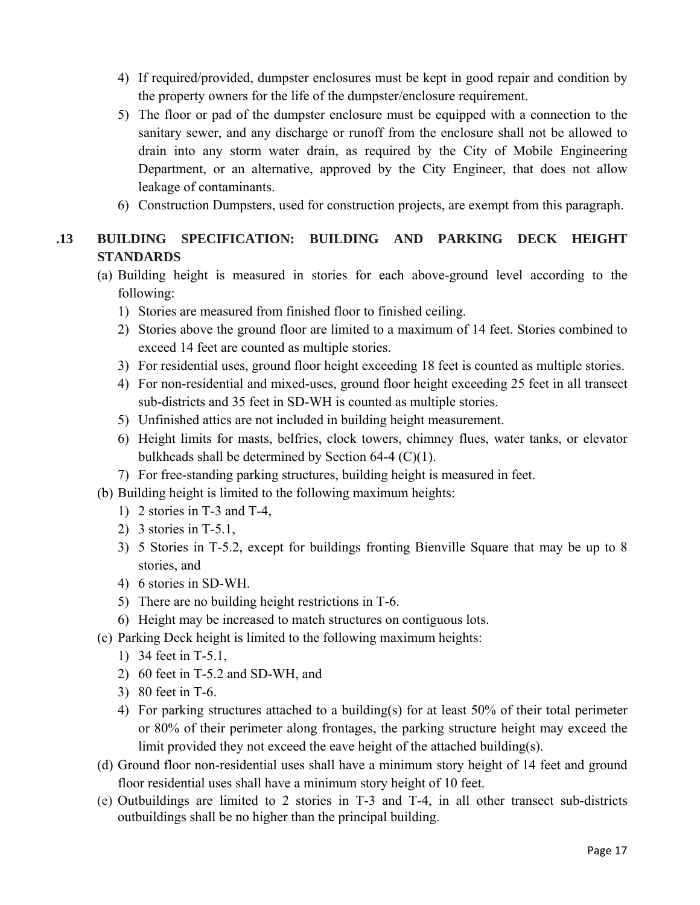- 4) If required/provided, dumpster enclosures must be kept in good repair and condition by the property owners for the life of the dumpster/enclosure requirement.
- 5) The floor or pad of the dumpster enclosure must be equipped with a connection to the sanitary sewer, and any discharge or runoff from the enclosure shall not be allowed to drain into any storm water drain, as required by the City of Mobile Engineering Department, or an alternative, approved by the City Engineer, that does not allow leakage of contaminants.
- 6) Construction Dumpsters, used for construction projects, are exempt from this paragraph.

# **.13 BUILDING SPECIFICATION: BUILDING AND PARKING DECK HEIGHT STANDARDS**

- (a) Building height is measured in stories for each above-ground level according to the following:
	- 1) Stories are measured from finished floor to finished ceiling.
	- 2) Stories above the ground floor are limited to a maximum of 14 feet. Stories combined to exceed 14 feet are counted as multiple stories.
	- 3) For residential uses, ground floor height exceeding 18 feet is counted as multiple stories.
	- 4) For non-residential and mixed-uses, ground floor height exceeding 25 feet in all transect sub-districts and 35 feet in SD-WH is counted as multiple stories.
	- 5) Unfinished attics are not included in building height measurement.
	- 6) Height limits for masts, belfries, clock towers, chimney flues, water tanks, or elevator bulkheads shall be determined by Section 64-4 (C)(1).
	- 7) For free-standing parking structures, building height is measured in feet.
- (b) Building height is limited to the following maximum heights:
	- 1) 2 stories in T-3 and T-4,
	- 2) 3 stories in T-5.1,
	- 3) 5 Stories in T-5.2, except for buildings fronting Bienville Square that may be up to 8 stories, and
	- 4) 6 stories in SD-WH.
	- 5) There are no building height restrictions in T-6.
	- 6) Height may be increased to match structures on contiguous lots.
- (c) Parking Deck height is limited to the following maximum heights:
	- 1) 34 feet in T-5.1,
	- 2) 60 feet in T-5.2 and SD-WH, and
	- 3) 80 feet in T-6.
	- 4) For parking structures attached to a building(s) for at least 50% of their total perimeter or 80% of their perimeter along frontages, the parking structure height may exceed the limit provided they not exceed the eave height of the attached building(s).
- (d) Ground floor non-residential uses shall have a minimum story height of 14 feet and ground floor residential uses shall have a minimum story height of 10 feet.
- (e) Outbuildings are limited to 2 stories in T-3 and T-4, in all other transect sub-districts outbuildings shall be no higher than the principal building.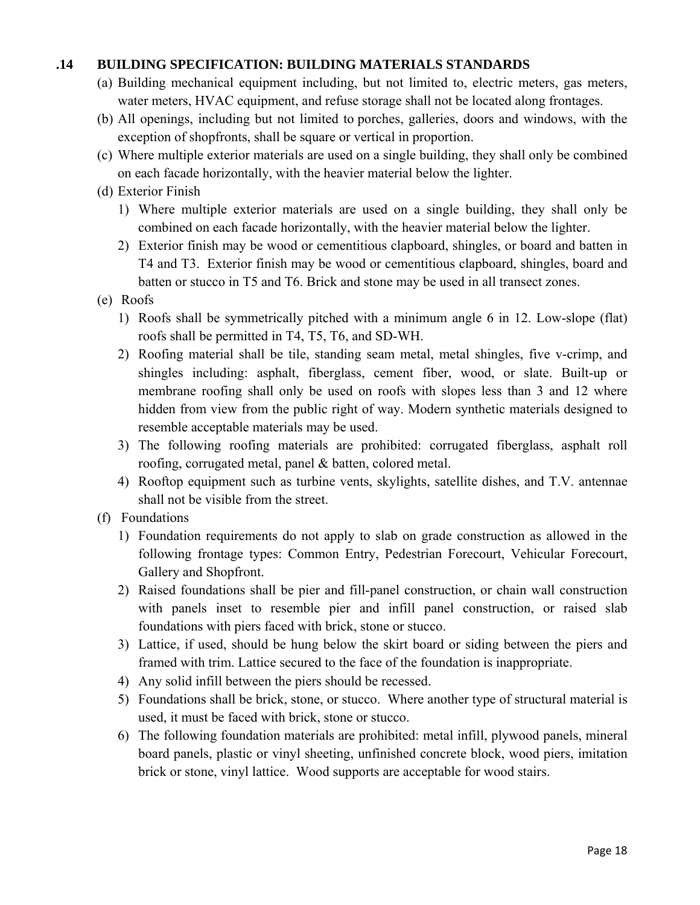### **.14 BUILDING SPECIFICATION: BUILDING MATERIALS STANDARDS**

- (a) Building mechanical equipment including, but not limited to, electric meters, gas meters, water meters, HVAC equipment, and refuse storage shall not be located along frontages.
- (b) All openings, including but not limited to porches, galleries, doors and windows, with the exception of shopfronts, shall be square or vertical in proportion.
- (c) Where multiple exterior materials are used on a single building, they shall only be combined on each facade horizontally, with the heavier material below the lighter.

# (d) Exterior Finish

- 1) Where multiple exterior materials are used on a single building, they shall only be combined on each facade horizontally, with the heavier material below the lighter.
- 2) Exterior finish may be wood or cementitious clapboard, shingles, or board and batten in T4 and T3. Exterior finish may be wood or cementitious clapboard, shingles, board and batten or stucco in T5 and T6. Brick and stone may be used in all transect zones.
- (e) Roofs
	- 1) Roofs shall be symmetrically pitched with a minimum angle 6 in 12. Low-slope (flat) roofs shall be permitted in T4, T5, T6, and SD-WH.
	- 2) Roofing material shall be tile, standing seam metal, metal shingles, five v-crimp, and shingles including: asphalt, fiberglass, cement fiber, wood, or slate. Built-up or membrane roofing shall only be used on roofs with slopes less than 3 and 12 where hidden from view from the public right of way. Modern synthetic materials designed to resemble acceptable materials may be used.
	- 3) The following roofing materials are prohibited: corrugated fiberglass, asphalt roll roofing, corrugated metal, panel & batten, colored metal.
	- 4) Rooftop equipment such as turbine vents, skylights, satellite dishes, and T.V. antennae shall not be visible from the street.
- (f) Foundations
	- 1) Foundation requirements do not apply to slab on grade construction as allowed in the following frontage types: Common Entry, Pedestrian Forecourt, Vehicular Forecourt, Gallery and Shopfront.
	- 2) Raised foundations shall be pier and fill-panel construction, or chain wall construction with panels inset to resemble pier and infill panel construction, or raised slab foundations with piers faced with brick, stone or stucco.
	- 3) Lattice, if used, should be hung below the skirt board or siding between the piers and framed with trim. Lattice secured to the face of the foundation is inappropriate.
	- 4) Any solid infill between the piers should be recessed.
	- 5) Foundations shall be brick, stone, or stucco. Where another type of structural material is used, it must be faced with brick, stone or stucco.
	- 6) The following foundation materials are prohibited: metal infill, plywood panels, mineral board panels, plastic or vinyl sheeting, unfinished concrete block, wood piers, imitation brick or stone, vinyl lattice. Wood supports are acceptable for wood stairs.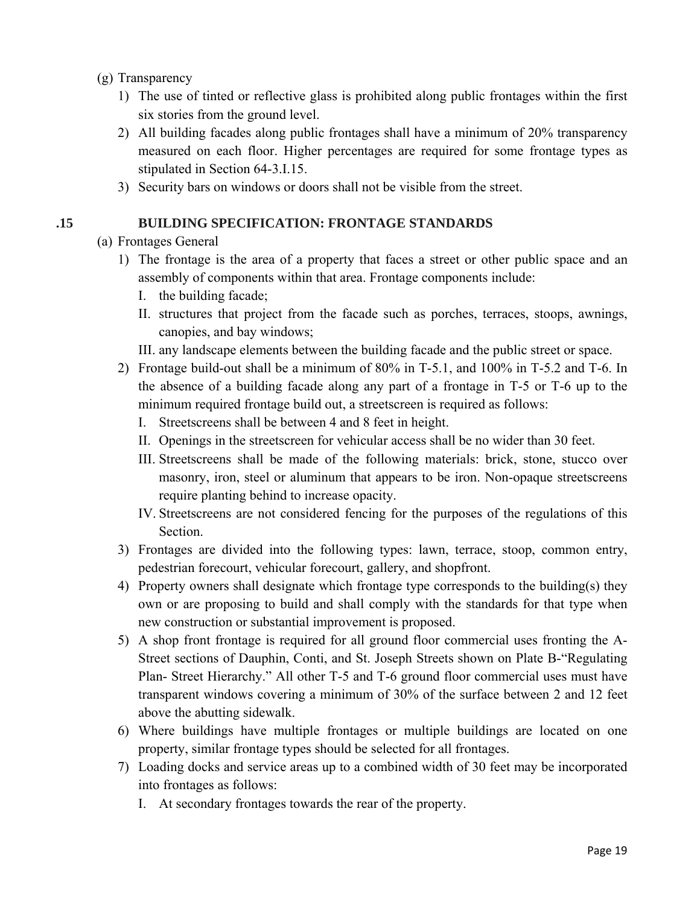### (g) Transparency

- 1) The use of tinted or reflective glass is prohibited along public frontages within the first six stories from the ground level.
- 2) All building facades along public frontages shall have a minimum of 20% transparency measured on each floor. Higher percentages are required for some frontage types as stipulated in Section 64-3.I.15.
- 3) Security bars on windows or doors shall not be visible from the street.

### **.15 BUILDING SPECIFICATION: FRONTAGE STANDARDS**

- (a) Frontages General
	- 1) The frontage is the area of a property that faces a street or other public space and an assembly of components within that area. Frontage components include:
		- I. the building facade;
		- II. structures that project from the facade such as porches, terraces, stoops, awnings, canopies, and bay windows;
		- III. any landscape elements between the building facade and the public street or space.
	- 2) Frontage build-out shall be a minimum of 80% in T-5.1, and 100% in T-5.2 and T-6. In the absence of a building facade along any part of a frontage in T-5 or T-6 up to the minimum required frontage build out, a streetscreen is required as follows:
		- I. Streetscreens shall be between 4 and 8 feet in height.
		- II. Openings in the streetscreen for vehicular access shall be no wider than 30 feet.
		- III. Streetscreens shall be made of the following materials: brick, stone, stucco over masonry, iron, steel or aluminum that appears to be iron. Non-opaque streetscreens require planting behind to increase opacity.
		- IV. Streetscreens are not considered fencing for the purposes of the regulations of this Section.
	- 3) Frontages are divided into the following types: lawn, terrace, stoop, common entry, pedestrian forecourt, vehicular forecourt, gallery, and shopfront.
	- 4) Property owners shall designate which frontage type corresponds to the building(s) they own or are proposing to build and shall comply with the standards for that type when new construction or substantial improvement is proposed.
	- 5) A shop front frontage is required for all ground floor commercial uses fronting the A-Street sections of Dauphin, Conti, and St. Joseph Streets shown on Plate B-"Regulating Plan- Street Hierarchy." All other T-5 and T-6 ground floor commercial uses must have transparent windows covering a minimum of 30% of the surface between 2 and 12 feet above the abutting sidewalk.
	- 6) Where buildings have multiple frontages or multiple buildings are located on one property, similar frontage types should be selected for all frontages.
	- 7) Loading docks and service areas up to a combined width of 30 feet may be incorporated into frontages as follows:
		- I. At secondary frontages towards the rear of the property.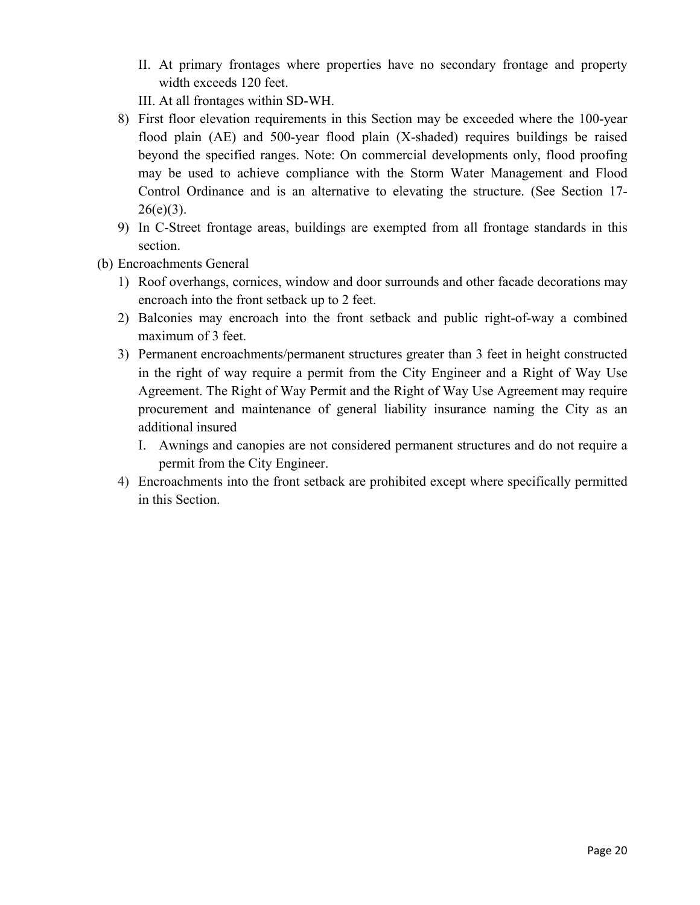- II. At primary frontages where properties have no secondary frontage and property width exceeds 120 feet.
- III. At all frontages within SD-WH.
- 8) First floor elevation requirements in this Section may be exceeded where the 100-year flood plain (AE) and 500-year flood plain (X-shaded) requires buildings be raised beyond the specified ranges. Note: On commercial developments only, flood proofing may be used to achieve compliance with the Storm Water Management and Flood Control Ordinance and is an alternative to elevating the structure. (See Section 17-  $26(e)(3)$ .
- 9) In C-Street frontage areas, buildings are exempted from all frontage standards in this section.
- (b) Encroachments General
	- 1) Roof overhangs, cornices, window and door surrounds and other facade decorations may encroach into the front setback up to 2 feet.
	- 2) Balconies may encroach into the front setback and public right-of-way a combined maximum of 3 feet.
	- 3) Permanent encroachments/permanent structures greater than 3 feet in height constructed in the right of way require a permit from the City Engineer and a Right of Way Use Agreement. The Right of Way Permit and the Right of Way Use Agreement may require procurement and maintenance of general liability insurance naming the City as an additional insured
		- I. Awnings and canopies are not considered permanent structures and do not require a permit from the City Engineer.
	- 4) Encroachments into the front setback are prohibited except where specifically permitted in this Section.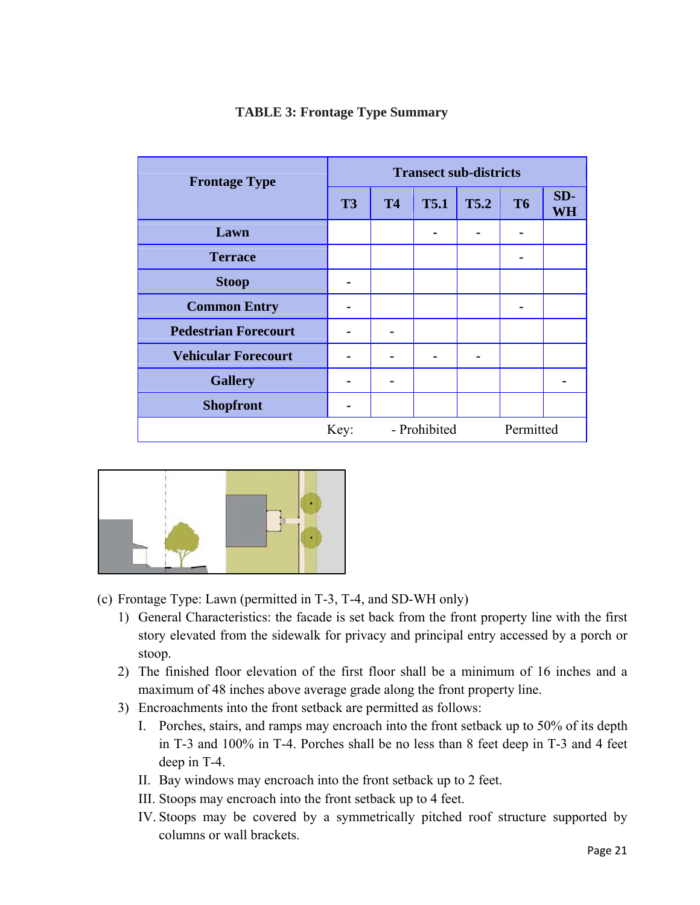| <b>Frontage Type</b>        | <b>Transect sub-districts</b> |                           |             |             |           |           |  |
|-----------------------------|-------------------------------|---------------------------|-------------|-------------|-----------|-----------|--|
|                             | <b>T3</b>                     | <b>T4</b>                 | <b>T5.1</b> | <b>T5.2</b> | <b>T6</b> | SD-<br>WH |  |
| Lawn                        |                               |                           |             |             |           |           |  |
| <b>Terrace</b>              |                               |                           |             |             |           |           |  |
| <b>Stoop</b>                |                               |                           |             |             |           |           |  |
| <b>Common Entry</b>         | $\blacksquare$                |                           |             |             |           |           |  |
| <b>Pedestrian Forecourt</b> |                               |                           |             |             |           |           |  |
| <b>Vehicular Forecourt</b>  |                               |                           |             |             |           |           |  |
| <b>Gallery</b>              |                               |                           |             |             |           |           |  |
| <b>Shopfront</b>            |                               |                           |             |             |           |           |  |
|                             | Key:                          | - Prohibited<br>Permitted |             |             |           |           |  |

## **TABLE 3: Frontage Type Summary**



- (c) Frontage Type: Lawn (permitted in T-3, T-4, and SD-WH only)
	- 1) General Characteristics: the facade is set back from the front property line with the first story elevated from the sidewalk for privacy and principal entry accessed by a porch or stoop.
	- 2) The finished floor elevation of the first floor shall be a minimum of 16 inches and a maximum of 48 inches above average grade along the front property line.
	- 3) Encroachments into the front setback are permitted as follows:
		- I. Porches, stairs, and ramps may encroach into the front setback up to 50% of its depth in T-3 and 100% in T-4. Porches shall be no less than 8 feet deep in T-3 and 4 feet deep in T-4.
		- II. Bay windows may encroach into the front setback up to 2 feet.
		- III. Stoops may encroach into the front setback up to 4 feet.
		- IV. Stoops may be covered by a symmetrically pitched roof structure supported by columns or wall brackets.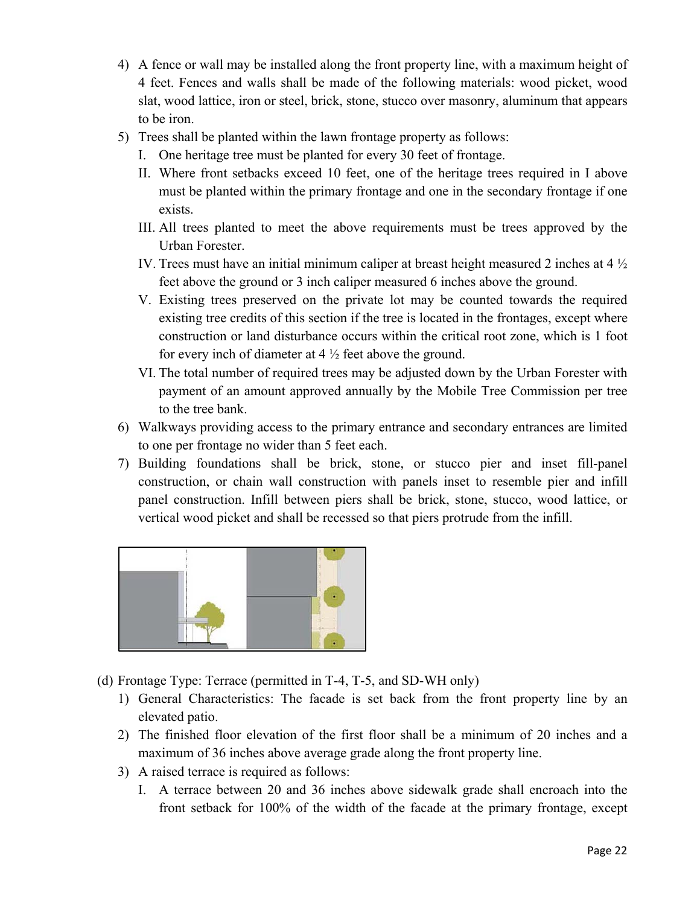- 4) A fence or wall may be installed along the front property line, with a maximum height of 4 feet. Fences and walls shall be made of the following materials: wood picket, wood slat, wood lattice, iron or steel, brick, stone, stucco over masonry, aluminum that appears to be iron.
- 5) Trees shall be planted within the lawn frontage property as follows:
	- I. One heritage tree must be planted for every 30 feet of frontage.
	- II. Where front setbacks exceed 10 feet, one of the heritage trees required in I above must be planted within the primary frontage and one in the secondary frontage if one exists.
	- III. All trees planted to meet the above requirements must be trees approved by the Urban Forester.
	- IV. Trees must have an initial minimum caliper at breast height measured 2 inches at 4 ½ feet above the ground or 3 inch caliper measured 6 inches above the ground.
	- V. Existing trees preserved on the private lot may be counted towards the required existing tree credits of this section if the tree is located in the frontages, except where construction or land disturbance occurs within the critical root zone, which is 1 foot for every inch of diameter at  $4\frac{1}{2}$  feet above the ground.
	- VI. The total number of required trees may be adjusted down by the Urban Forester with payment of an amount approved annually by the Mobile Tree Commission per tree to the tree bank.
- 6) Walkways providing access to the primary entrance and secondary entrances are limited to one per frontage no wider than 5 feet each.
- 7) Building foundations shall be brick, stone, or stucco pier and inset fill-panel construction, or chain wall construction with panels inset to resemble pier and infill panel construction. Infill between piers shall be brick, stone, stucco, wood lattice, or vertical wood picket and shall be recessed so that piers protrude from the infill.



- (d) Frontage Type: Terrace (permitted in T-4, T-5, and SD-WH only)
	- 1) General Characteristics: The facade is set back from the front property line by an elevated patio.
	- 2) The finished floor elevation of the first floor shall be a minimum of 20 inches and a maximum of 36 inches above average grade along the front property line.
	- 3) A raised terrace is required as follows:
		- I. A terrace between 20 and 36 inches above sidewalk grade shall encroach into the front setback for 100% of the width of the facade at the primary frontage, except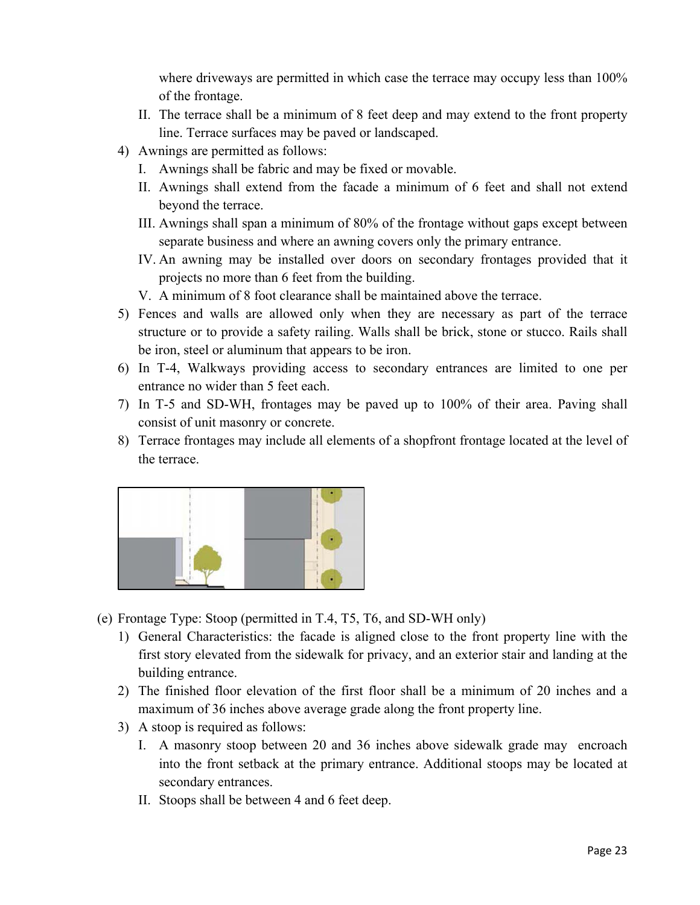where driveways are permitted in which case the terrace may occupy less than  $100\%$ of the frontage.

- II. The terrace shall be a minimum of 8 feet deep and may extend to the front property line. Terrace surfaces may be paved or landscaped.
- 4) Awnings are permitted as follows:
	- I. Awnings shall be fabric and may be fixed or movable.
	- II. Awnings shall extend from the facade a minimum of 6 feet and shall not extend beyond the terrace.
	- III. Awnings shall span a minimum of 80% of the frontage without gaps except between separate business and where an awning covers only the primary entrance.
	- IV. An awning may be installed over doors on secondary frontages provided that it projects no more than 6 feet from the building.
	- V. A minimum of 8 foot clearance shall be maintained above the terrace.
- 5) Fences and walls are allowed only when they are necessary as part of the terrace structure or to provide a safety railing. Walls shall be brick, stone or stucco. Rails shall be iron, steel or aluminum that appears to be iron.
- 6) In T-4, Walkways providing access to secondary entrances are limited to one per entrance no wider than 5 feet each.
- 7) In T-5 and SD-WH, frontages may be paved up to 100% of their area. Paving shall consist of unit masonry or concrete.
- 8) Terrace frontages may include all elements of a shopfront frontage located at the level of the terrace.



- (e) Frontage Type: Stoop (permitted in T.4, T5, T6, and SD-WH only)
	- 1) General Characteristics: the facade is aligned close to the front property line with the first story elevated from the sidewalk for privacy, and an exterior stair and landing at the building entrance.
	- 2) The finished floor elevation of the first floor shall be a minimum of 20 inches and a maximum of 36 inches above average grade along the front property line.
	- 3) A stoop is required as follows:
		- I. A masonry stoop between 20 and 36 inches above sidewalk grade may encroach into the front setback at the primary entrance. Additional stoops may be located at secondary entrances.
		- II. Stoops shall be between 4 and 6 feet deep.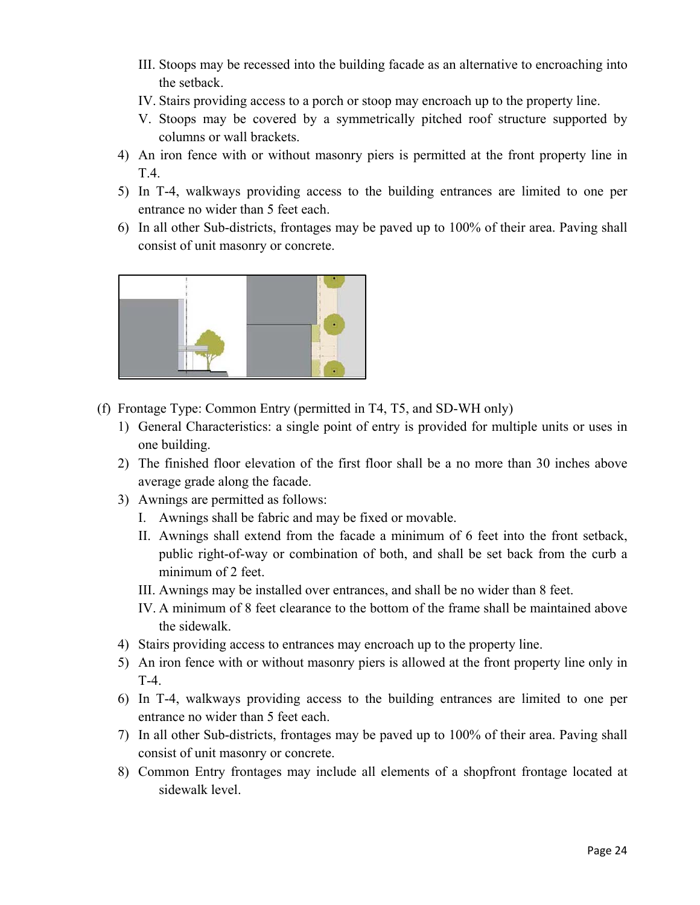- III. Stoops may be recessed into the building facade as an alternative to encroaching into the setback.
- IV. Stairs providing access to a porch or stoop may encroach up to the property line.
- V. Stoops may be covered by a symmetrically pitched roof structure supported by columns or wall brackets.
- 4) An iron fence with or without masonry piers is permitted at the front property line in T.4.
- 5) In T-4, walkways providing access to the building entrances are limited to one per entrance no wider than 5 feet each.
- 6) In all other Sub-districts, frontages may be paved up to 100% of their area. Paving shall consist of unit masonry or concrete.



- (f) Frontage Type: Common Entry (permitted in T4, T5, and SD-WH only)
	- 1) General Characteristics: a single point of entry is provided for multiple units or uses in one building.
	- 2) The finished floor elevation of the first floor shall be a no more than 30 inches above average grade along the facade.
	- 3) Awnings are permitted as follows:
		- I. Awnings shall be fabric and may be fixed or movable.
		- II. Awnings shall extend from the facade a minimum of 6 feet into the front setback, public right-of-way or combination of both, and shall be set back from the curb a minimum of 2 feet.
		- III. Awnings may be installed over entrances, and shall be no wider than 8 feet.
		- IV. A minimum of 8 feet clearance to the bottom of the frame shall be maintained above the sidewalk.
	- 4) Stairs providing access to entrances may encroach up to the property line.
	- 5) An iron fence with or without masonry piers is allowed at the front property line only in T-4.
	- 6) In T-4, walkways providing access to the building entrances are limited to one per entrance no wider than 5 feet each.
	- 7) In all other Sub-districts, frontages may be paved up to 100% of their area. Paving shall consist of unit masonry or concrete.
	- 8) Common Entry frontages may include all elements of a shopfront frontage located at sidewalk level.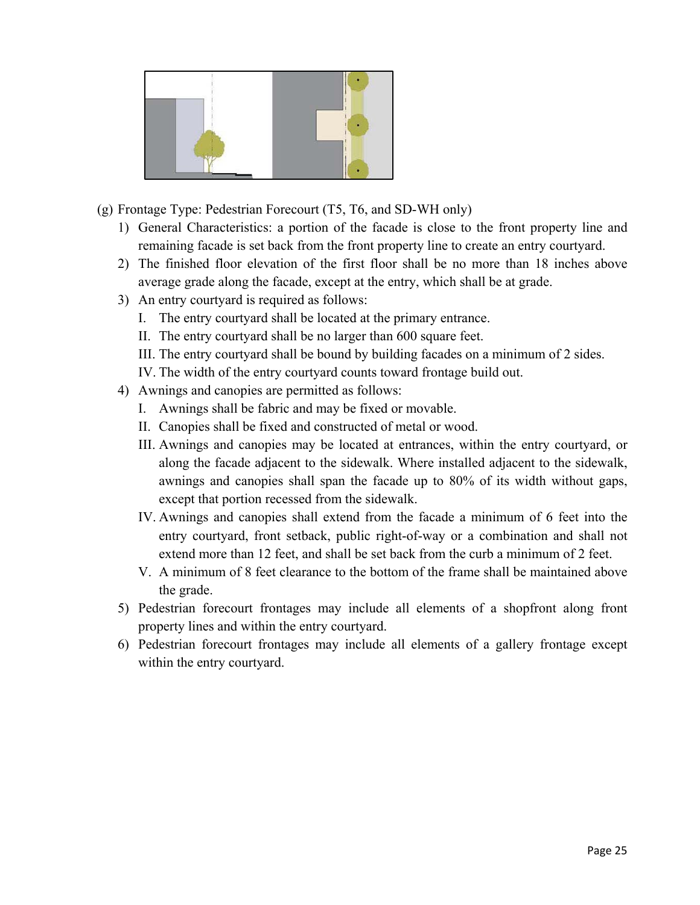

- (g) Frontage Type: Pedestrian Forecourt (T5, T6, and SD-WH only)
	- 1) General Characteristics: a portion of the facade is close to the front property line and remaining facade is set back from the front property line to create an entry courtyard.
	- 2) The finished floor elevation of the first floor shall be no more than 18 inches above average grade along the facade, except at the entry, which shall be at grade.
	- 3) An entry courtyard is required as follows:
		- I. The entry courtyard shall be located at the primary entrance.
		- II. The entry courtyard shall be no larger than 600 square feet.
		- III. The entry courtyard shall be bound by building facades on a minimum of 2 sides.
		- IV. The width of the entry courtyard counts toward frontage build out.
	- 4) Awnings and canopies are permitted as follows:
		- I. Awnings shall be fabric and may be fixed or movable.
		- II. Canopies shall be fixed and constructed of metal or wood.
		- III. Awnings and canopies may be located at entrances, within the entry courtyard, or along the facade adjacent to the sidewalk. Where installed adjacent to the sidewalk, awnings and canopies shall span the facade up to 80% of its width without gaps, except that portion recessed from the sidewalk.
		- IV. Awnings and canopies shall extend from the facade a minimum of 6 feet into the entry courtyard, front setback, public right-of-way or a combination and shall not extend more than 12 feet, and shall be set back from the curb a minimum of 2 feet.
		- V. A minimum of 8 feet clearance to the bottom of the frame shall be maintained above the grade.
	- 5) Pedestrian forecourt frontages may include all elements of a shopfront along front property lines and within the entry courtyard.
	- 6) Pedestrian forecourt frontages may include all elements of a gallery frontage except within the entry courtyard.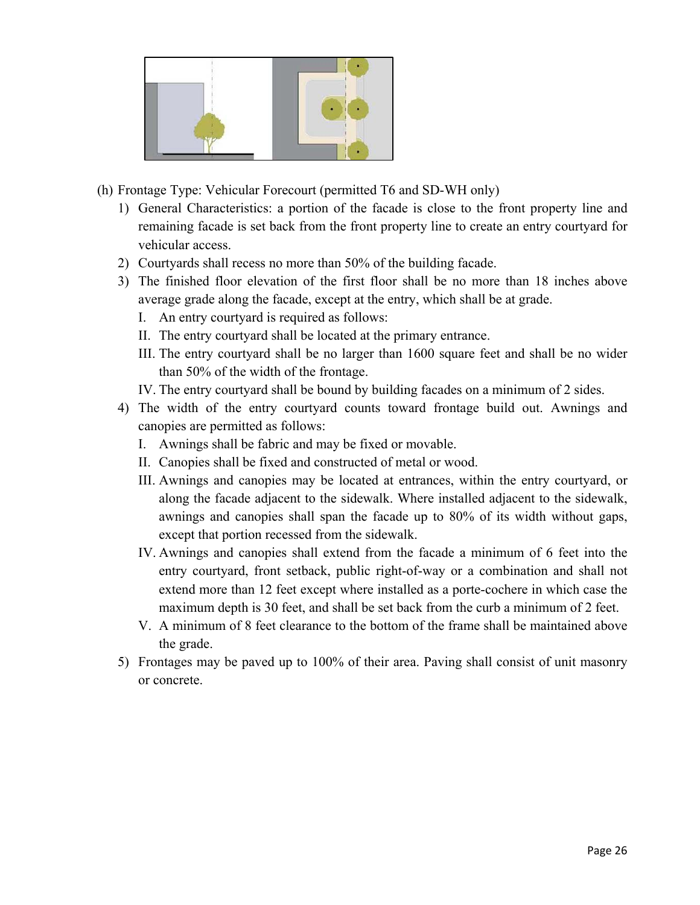- (h) Frontage Type: Vehicular Forecourt (permitted T6 and SD-WH only)
	- 1) General Characteristics: a portion of the facade is close to the front property line and remaining facade is set back from the front property line to create an entry courtyard for vehicular access.
	- 2) Courtyards shall recess no more than 50% of the building facade.
	- 3) The finished floor elevation of the first floor shall be no more than 18 inches above average grade along the facade, except at the entry, which shall be at grade.
		- I. An entry courtyard is required as follows:
		- II. The entry courtyard shall be located at the primary entrance.
		- III. The entry courtyard shall be no larger than 1600 square feet and shall be no wider than 50% of the width of the frontage.
		- IV. The entry courtyard shall be bound by building facades on a minimum of 2 sides.
	- 4) The width of the entry courtyard counts toward frontage build out. Awnings and canopies are permitted as follows:
		- I. Awnings shall be fabric and may be fixed or movable.
		- II. Canopies shall be fixed and constructed of metal or wood.
		- III. Awnings and canopies may be located at entrances, within the entry courtyard, or along the facade adjacent to the sidewalk. Where installed adjacent to the sidewalk, awnings and canopies shall span the facade up to 80% of its width without gaps, except that portion recessed from the sidewalk.
		- IV. Awnings and canopies shall extend from the facade a minimum of 6 feet into the entry courtyard, front setback, public right-of-way or a combination and shall not extend more than 12 feet except where installed as a porte-cochere in which case the maximum depth is 30 feet, and shall be set back from the curb a minimum of 2 feet.
		- V. A minimum of 8 feet clearance to the bottom of the frame shall be maintained above the grade.
	- 5) Frontages may be paved up to 100% of their area. Paving shall consist of unit masonry or concrete.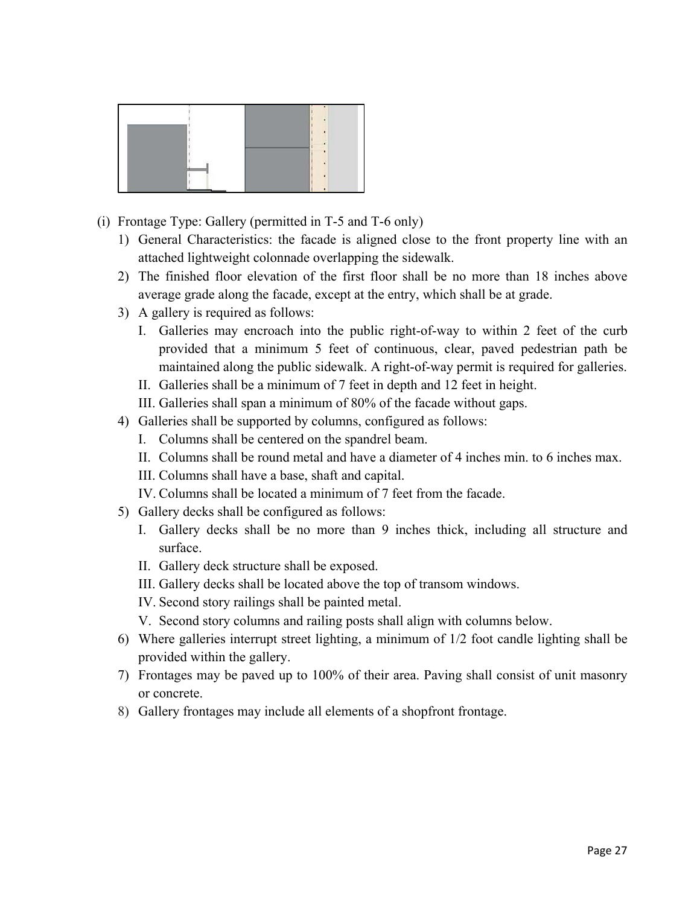- (i) Frontage Type: Gallery (permitted in T-5 and T-6 only)
	- 1) General Characteristics: the facade is aligned close to the front property line with an attached lightweight colonnade overlapping the sidewalk.
	- 2) The finished floor elevation of the first floor shall be no more than 18 inches above average grade along the facade, except at the entry, which shall be at grade.
	- 3) A gallery is required as follows:
		- I. Galleries may encroach into the public right-of-way to within 2 feet of the curb provided that a minimum 5 feet of continuous, clear, paved pedestrian path be maintained along the public sidewalk. A right-of-way permit is required for galleries.
		- II. Galleries shall be a minimum of 7 feet in depth and 12 feet in height.
		- III. Galleries shall span a minimum of 80% of the facade without gaps.
	- 4) Galleries shall be supported by columns, configured as follows:
		- I. Columns shall be centered on the spandrel beam.
		- II. Columns shall be round metal and have a diameter of 4 inches min. to 6 inches max.
		- III. Columns shall have a base, shaft and capital.
		- IV. Columns shall be located a minimum of 7 feet from the facade.
	- 5) Gallery decks shall be configured as follows:
		- I. Gallery decks shall be no more than 9 inches thick, including all structure and surface.
		- II. Gallery deck structure shall be exposed.
		- III. Gallery decks shall be located above the top of transom windows.
		- IV. Second story railings shall be painted metal.
		- V. Second story columns and railing posts shall align with columns below.
	- 6) Where galleries interrupt street lighting, a minimum of 1/2 foot candle lighting shall be provided within the gallery.
	- 7) Frontages may be paved up to 100% of their area. Paving shall consist of unit masonry or concrete.
	- 8) Gallery frontages may include all elements of a shopfront frontage.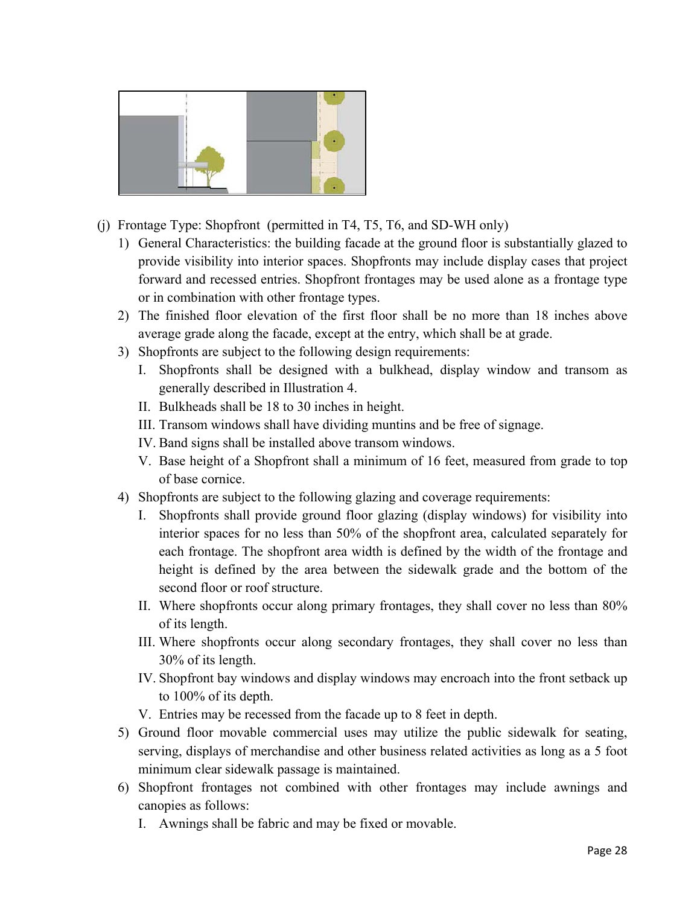

- (j) Frontage Type: Shopfront (permitted in T4, T5, T6, and SD-WH only)
	- 1) General Characteristics: the building facade at the ground floor is substantially glazed to provide visibility into interior spaces. Shopfronts may include display cases that project forward and recessed entries. Shopfront frontages may be used alone as a frontage type or in combination with other frontage types.
	- 2) The finished floor elevation of the first floor shall be no more than 18 inches above average grade along the facade, except at the entry, which shall be at grade.
	- 3) Shopfronts are subject to the following design requirements:
		- I. Shopfronts shall be designed with a bulkhead, display window and transom as generally described in Illustration 4.
		- II. Bulkheads shall be 18 to 30 inches in height.
		- III. Transom windows shall have dividing muntins and be free of signage.
		- IV. Band signs shall be installed above transom windows.
		- V. Base height of a Shopfront shall a minimum of 16 feet, measured from grade to top of base cornice.
	- 4) Shopfronts are subject to the following glazing and coverage requirements:
		- I. Shopfronts shall provide ground floor glazing (display windows) for visibility into interior spaces for no less than 50% of the shopfront area, calculated separately for each frontage. The shopfront area width is defined by the width of the frontage and height is defined by the area between the sidewalk grade and the bottom of the second floor or roof structure.
		- II. Where shopfronts occur along primary frontages, they shall cover no less than 80% of its length.
		- III. Where shopfronts occur along secondary frontages, they shall cover no less than 30% of its length.
		- IV. Shopfront bay windows and display windows may encroach into the front setback up to 100% of its depth.
		- V. Entries may be recessed from the facade up to 8 feet in depth.
	- 5) Ground floor movable commercial uses may utilize the public sidewalk for seating, serving, displays of merchandise and other business related activities as long as a 5 foot minimum clear sidewalk passage is maintained.
	- 6) Shopfront frontages not combined with other frontages may include awnings and canopies as follows:
		- I. Awnings shall be fabric and may be fixed or movable.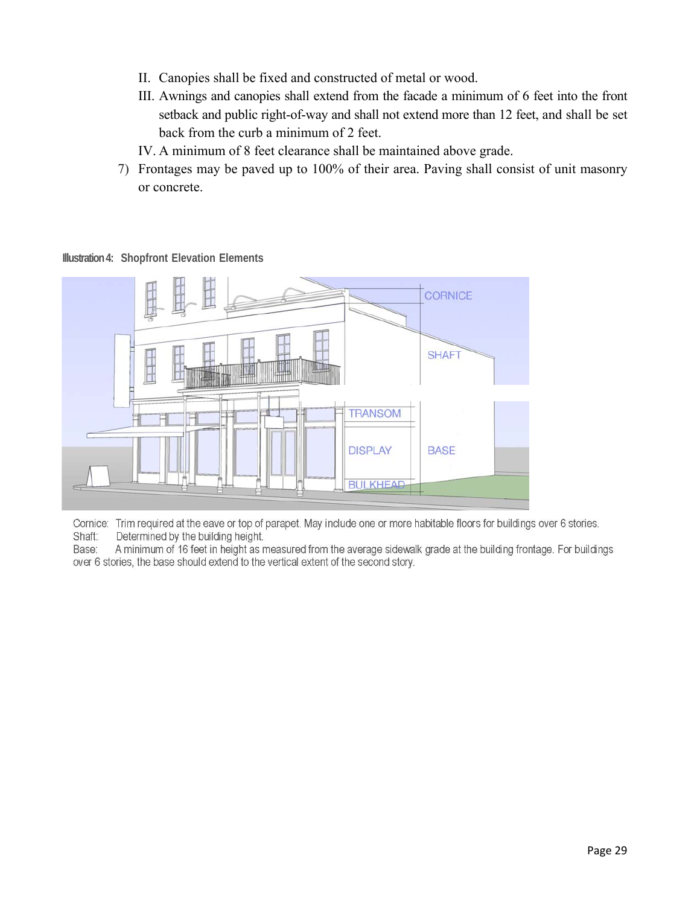- II. Canopies shall be fixed and constructed of metal or wood.
- III. Awnings and canopies shall extend from the facade a minimum of 6 feet into the front setback and public right-of-way and shall not extend more than 12 feet, and shall be set back from the curb a minimum of 2 feet.
- IV. A minimum of 8 feet clearance shall be maintained above grade.
- 7) Frontages may be paved up to 100% of their area. Paving shall consist of unit masonry or concrete.

 $\Gamma$  required at the earth  $\Gamma$  or top of parameter. May include one or more habitable floors for building  $\Gamma$ Shaft: Determined by the building here by the building here by the building here by the building here by the building  $\mathbb{R}$  $\mathbb{R}$  minimum of 16 feet in height as measured from the average side at the average sidewalk grade at the building from the average side at the average side at the average side at the average side at the building from  $\begin{array}{c} \hline \end{array}$ **SHAFT** ₩ **TRANSOM DISPLAY BASE BULKHEAD** 

**Illustration 4: Shopfront Elevation Elements** 

Cornice: Trim required at the eave or top of parapet. May include one or more habitable floors for buildings over 6 stories. Shaft: Determined by the building height.

A minimum of 16 feet in height as measured from the average sidewalk grade at the building frontage. For buildings Base: over 6 stories, the base should extend to the vertical extent of the second story.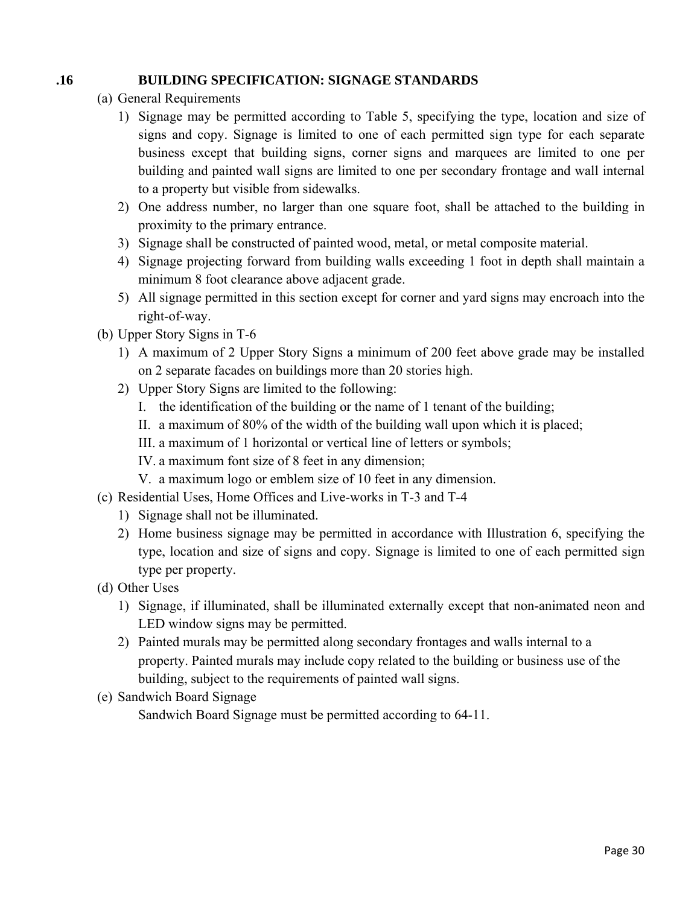# **.16 BUILDING SPECIFICATION: SIGNAGE STANDARDS**

- (a) General Requirements
	- 1) Signage may be permitted according to Table 5, specifying the type, location and size of signs and copy. Signage is limited to one of each permitted sign type for each separate business except that building signs, corner signs and marquees are limited to one per building and painted wall signs are limited to one per secondary frontage and wall internal to a property but visible from sidewalks.
	- 2) One address number, no larger than one square foot, shall be attached to the building in proximity to the primary entrance.
	- 3) Signage shall be constructed of painted wood, metal, or metal composite material.
	- 4) Signage projecting forward from building walls exceeding 1 foot in depth shall maintain a minimum 8 foot clearance above adjacent grade.
	- 5) All signage permitted in this section except for corner and yard signs may encroach into the right-of-way.
- (b) Upper Story Signs in T-6
	- 1) A maximum of 2 Upper Story Signs a minimum of 200 feet above grade may be installed on 2 separate facades on buildings more than 20 stories high.
	- 2) Upper Story Signs are limited to the following:
		- I. the identification of the building or the name of 1 tenant of the building;
		- II. a maximum of 80% of the width of the building wall upon which it is placed;
		- III. a maximum of 1 horizontal or vertical line of letters or symbols;
		- IV. a maximum font size of 8 feet in any dimension;
		- V. a maximum logo or emblem size of 10 feet in any dimension.
- (c) Residential Uses, Home Offices and Live-works in T-3 and T-4
	- 1) Signage shall not be illuminated.
	- 2) Home business signage may be permitted in accordance with Illustration 6, specifying the type, location and size of signs and copy. Signage is limited to one of each permitted sign type per property.
- (d) Other Uses
	- 1) Signage, if illuminated, shall be illuminated externally except that non-animated neon and LED window signs may be permitted.
	- 2) Painted murals may be permitted along secondary frontages and walls internal to a property. Painted murals may include copy related to the building or business use of the building, subject to the requirements of painted wall signs.
- (e) Sandwich Board Signage

Sandwich Board Signage must be permitted according to 64-11.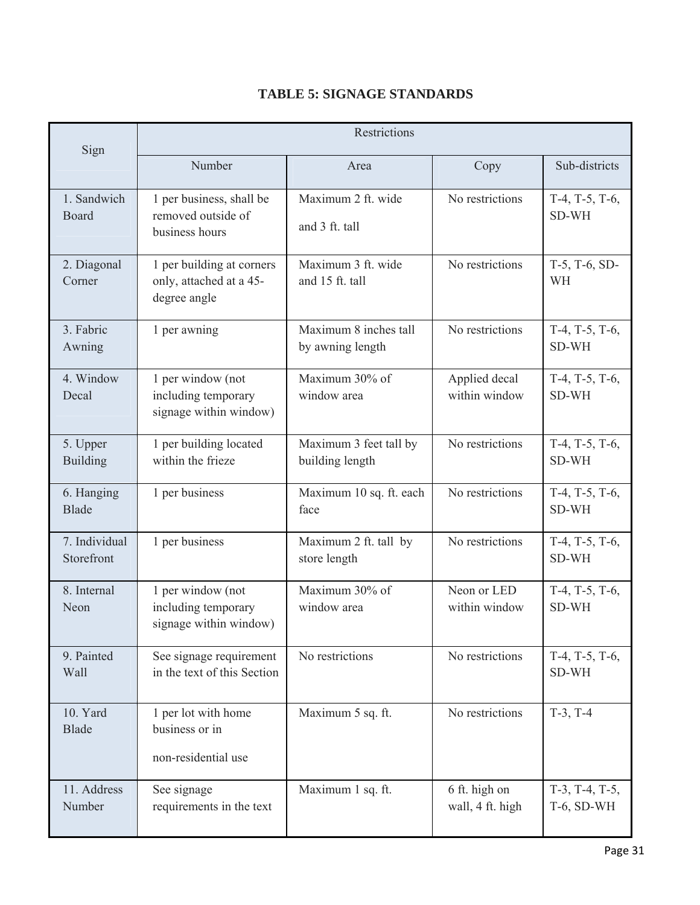| Sign                        | Restrictions                                                         |                                           |                                   |                                       |  |  |
|-----------------------------|----------------------------------------------------------------------|-------------------------------------------|-----------------------------------|---------------------------------------|--|--|
|                             | Number                                                               | Area                                      | Copy                              | Sub-districts                         |  |  |
| 1. Sandwich<br>Board        | 1 per business, shall be<br>removed outside of<br>business hours     | Maximum 2 ft. wide<br>and 3 ft. tall      | No restrictions                   | $T-4$ , $T-5$ , $T-6$ ,<br>SD-WH      |  |  |
| 2. Diagonal<br>Corner       | 1 per building at corners<br>only, attached at a 45-<br>degree angle | Maximum 3 ft. wide<br>and 15 ft. tall     | No restrictions                   | $T-5$ , $T-6$ , $SD-$<br>WH           |  |  |
| 3. Fabric<br>Awning         | 1 per awning                                                         | Maximum 8 inches tall<br>by awning length | No restrictions                   | $T-4$ , $T-5$ , $T-6$ ,<br>SD-WH      |  |  |
| 4. Window<br>Decal          | 1 per window (not<br>including temporary<br>signage within window)   | Maximum 30% of<br>window area             | Applied decal<br>within window    | $T-4$ , $T-5$ , $T-6$ ,<br>SD-WH      |  |  |
| 5. Upper<br><b>Building</b> | 1 per building located<br>within the frieze                          | Maximum 3 feet tall by<br>building length | No restrictions                   | $T-4$ , $T-5$ , $T-6$ ,<br>SD-WH      |  |  |
| 6. Hanging<br><b>Blade</b>  | 1 per business                                                       | Maximum 10 sq. ft. each<br>face           | No restrictions                   | $T-4$ , $T-5$ , $T-6$ ,<br>SD-WH      |  |  |
| 7. Individual<br>Storefront | 1 per business                                                       | Maximum 2 ft. tall by<br>store length     | No restrictions                   | $T-4$ , $T-5$ , $T-6$ ,<br>SD-WH      |  |  |
| 8. Internal<br>Neon         | 1 per window (not<br>including temporary<br>signage within window)   | Maximum 30% of<br>window area             | Neon or LED<br>within window      | $T-4$ , $T-5$ , $T-6$ ,<br>SD-WH      |  |  |
| 9. Painted<br>Wall          | See signage requirement<br>in the text of this Section               | No restrictions                           | No restrictions                   | $T-4$ , $T-5$ , $T-6$ ,<br>SD-WH      |  |  |
| 10. Yard<br><b>Blade</b>    | 1 per lot with home<br>business or in<br>non-residential use         | Maximum 5 sq. ft.                         | No restrictions                   | $T-3$ , $T-4$                         |  |  |
| 11. Address<br>Number       | See signage<br>requirements in the text                              | Maximum 1 sq. ft.                         | 6 ft. high on<br>wall, 4 ft. high | $T-3$ , $T-4$ , $T-5$ ,<br>T-6, SD-WH |  |  |

# **TABLE 5: SIGNAGE STANDARDS**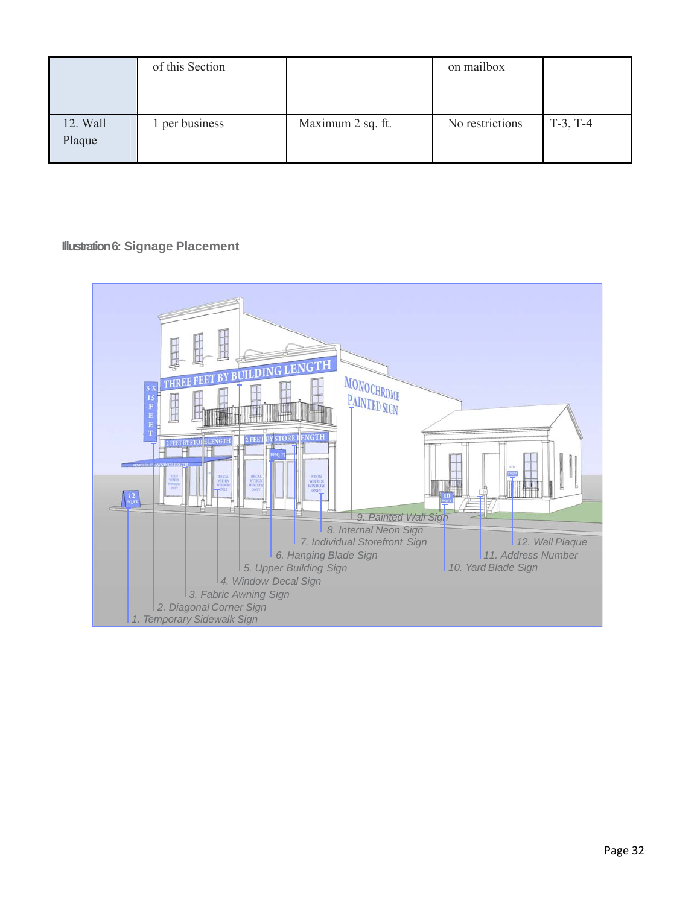|                    | of this Section |                   | on mailbox      |               |
|--------------------|-----------------|-------------------|-----------------|---------------|
| 12. Wall<br>Plaque | 1 per business  | Maximum 2 sq. ft. | No restrictions | $T-3$ , $T-4$ |

# **Illustration 6: Signage Placement**

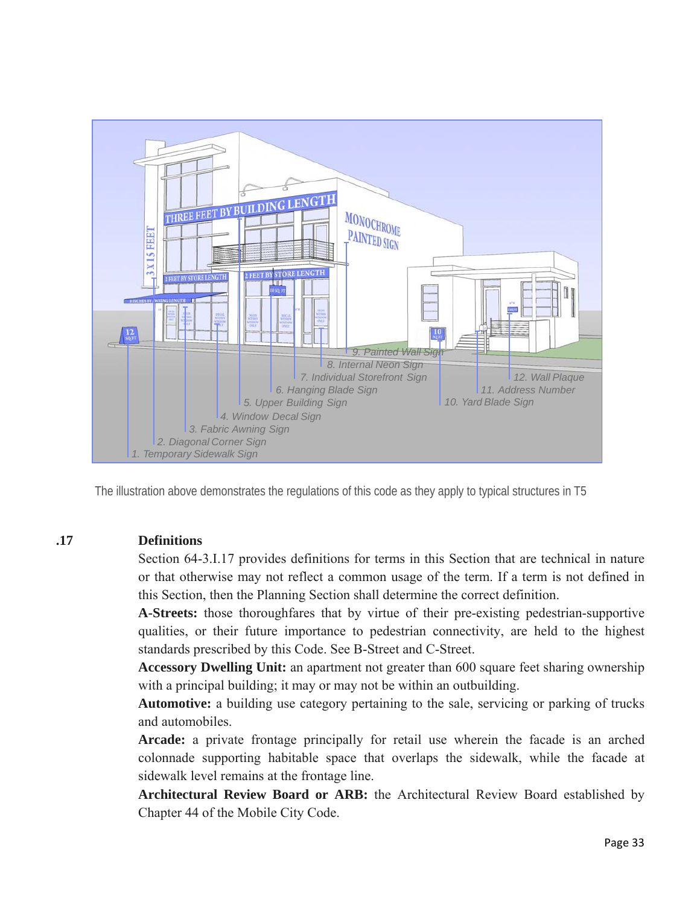

The illustration above demonstrates the regulations of this code as they apply to typical structures in T5

#### **.17 Definitions**

Section 64-3.I.17 provides definitions for terms in this Section that are technical in nature or that otherwise may not reflect a common usage of the term. If a term is not defined in this Section, then the Planning Section shall determine the correct definition.

**A-Streets:** those thoroughfares that by virtue of their pre-existing pedestrian-supportive qualities, or their future importance to pedestrian connectivity, are held to the highest standards prescribed by this Code. See B-Street and C-Street.

**Accessory Dwelling Unit:** an apartment not greater than 600 square feet sharing ownership with a principal building; it may or may not be within an outbuilding.

**Automotive:** a building use category pertaining to the sale, servicing or parking of trucks and automobiles.

**Arcade:** a private frontage principally for retail use wherein the facade is an arched colonnade supporting habitable space that overlaps the sidewalk, while the facade at sidewalk level remains at the frontage line.

**Architectural Review Board or ARB:** the Architectural Review Board established by Chapter 44 of the Mobile City Code.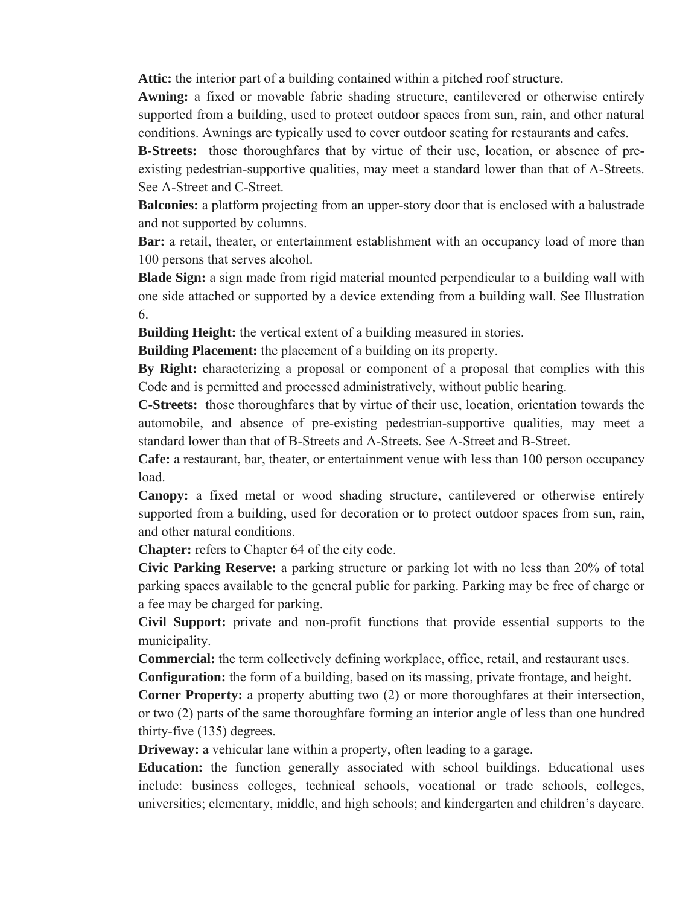**Attic:** the interior part of a building contained within a pitched roof structure.

**Awning:** a fixed or movable fabric shading structure, cantilevered or otherwise entirely supported from a building, used to protect outdoor spaces from sun, rain, and other natural conditions. Awnings are typically used to cover outdoor seating for restaurants and cafes.

**B-Streets:** those thoroughfares that by virtue of their use, location, or absence of preexisting pedestrian-supportive qualities, may meet a standard lower than that of A-Streets. See A-Street and C-Street.

**Balconies:** a platform projecting from an upper-story door that is enclosed with a balustrade and not supported by columns.

**Bar:** a retail, theater, or entertainment establishment with an occupancy load of more than 100 persons that serves alcohol.

**Blade Sign:** a sign made from rigid material mounted perpendicular to a building wall with one side attached or supported by a device extending from a building wall. See Illustration 6.

**Building Height:** the vertical extent of a building measured in stories.

**Building Placement:** the placement of a building on its property.

**By Right:** characterizing a proposal or component of a proposal that complies with this Code and is permitted and processed administratively, without public hearing.

**C-Streets:** those thoroughfares that by virtue of their use, location, orientation towards the automobile, and absence of pre-existing pedestrian-supportive qualities, may meet a standard lower than that of B-Streets and A-Streets. See A-Street and B-Street.

**Cafe:** a restaurant, bar, theater, or entertainment venue with less than 100 person occupancy load.

**Canopy:** a fixed metal or wood shading structure, cantilevered or otherwise entirely supported from a building, used for decoration or to protect outdoor spaces from sun, rain, and other natural conditions.

**Chapter:** refers to Chapter 64 of the city code.

**Civic Parking Reserve:** a parking structure or parking lot with no less than 20% of total parking spaces available to the general public for parking. Parking may be free of charge or a fee may be charged for parking.

**Civil Support:** private and non-profit functions that provide essential supports to the municipality.

**Commercial:** the term collectively defining workplace, office, retail, and restaurant uses.

**Configuration:** the form of a building, based on its massing, private frontage, and height.

**Corner Property:** a property abutting two (2) or more thoroughfares at their intersection, or two (2) parts of the same thoroughfare forming an interior angle of less than one hundred thirty-five (135) degrees.

**Driveway:** a vehicular lane within a property, often leading to a garage.

**Education:** the function generally associated with school buildings. Educational uses include: business colleges, technical schools, vocational or trade schools, colleges, universities; elementary, middle, and high schools; and kindergarten and children's daycare.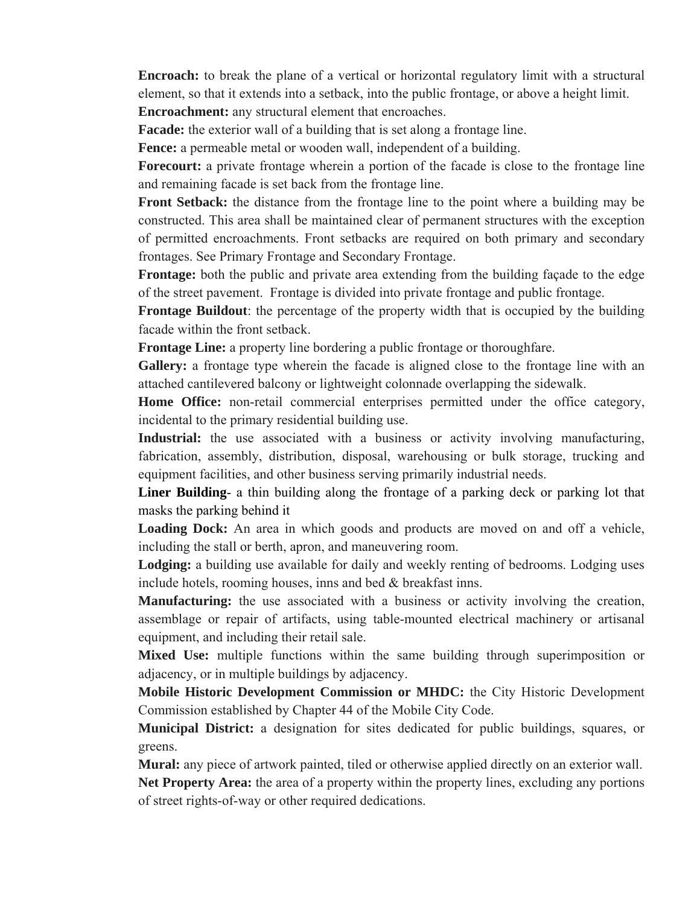**Encroach:** to break the plane of a vertical or horizontal regulatory limit with a structural element, so that it extends into a setback, into the public frontage, or above a height limit. **Encroachment:** any structural element that encroaches.

**Facade:** the exterior wall of a building that is set along a frontage line.

**Fence:** a permeable metal or wooden wall, independent of a building.

**Forecourt:** a private frontage wherein a portion of the facade is close to the frontage line and remaining facade is set back from the frontage line.

**Front Setback:** the distance from the frontage line to the point where a building may be constructed. This area shall be maintained clear of permanent structures with the exception of permitted encroachments. Front setbacks are required on both primary and secondary frontages. See Primary Frontage and Secondary Frontage.

**Frontage:** both the public and private area extending from the building façade to the edge of the street pavement. Frontage is divided into private frontage and public frontage.

**Frontage Buildout**: the percentage of the property width that is occupied by the building facade within the front setback.

**Frontage Line:** a property line bordering a public frontage or thoroughfare.

Gallery: a frontage type wherein the facade is aligned close to the frontage line with an attached cantilevered balcony or lightweight colonnade overlapping the sidewalk.

**Home Office:** non-retail commercial enterprises permitted under the office category, incidental to the primary residential building use.

**Industrial:** the use associated with a business or activity involving manufacturing, fabrication, assembly, distribution, disposal, warehousing or bulk storage, trucking and equipment facilities, and other business serving primarily industrial needs.

**Liner Building**- a thin building along the frontage of a parking deck or parking lot that masks the parking behind it

**Loading Dock:** An area in which goods and products are moved on and off a vehicle, including the stall or berth, apron, and maneuvering room.

**Lodging:** a building use available for daily and weekly renting of bedrooms. Lodging uses include hotels, rooming houses, inns and bed & breakfast inns.

**Manufacturing:** the use associated with a business or activity involving the creation, assemblage or repair of artifacts, using table-mounted electrical machinery or artisanal equipment, and including their retail sale.

**Mixed Use:** multiple functions within the same building through superimposition or adjacency, or in multiple buildings by adjacency.

**Mobile Historic Development Commission or MHDC:** the City Historic Development Commission established by Chapter 44 of the Mobile City Code.

**Municipal District:** a designation for sites dedicated for public buildings, squares, or greens.

**Mural:** any piece of artwork painted, tiled or otherwise applied directly on an exterior wall. **Net Property Area:** the area of a property within the property lines, excluding any portions of street rights-of-way or other required dedications.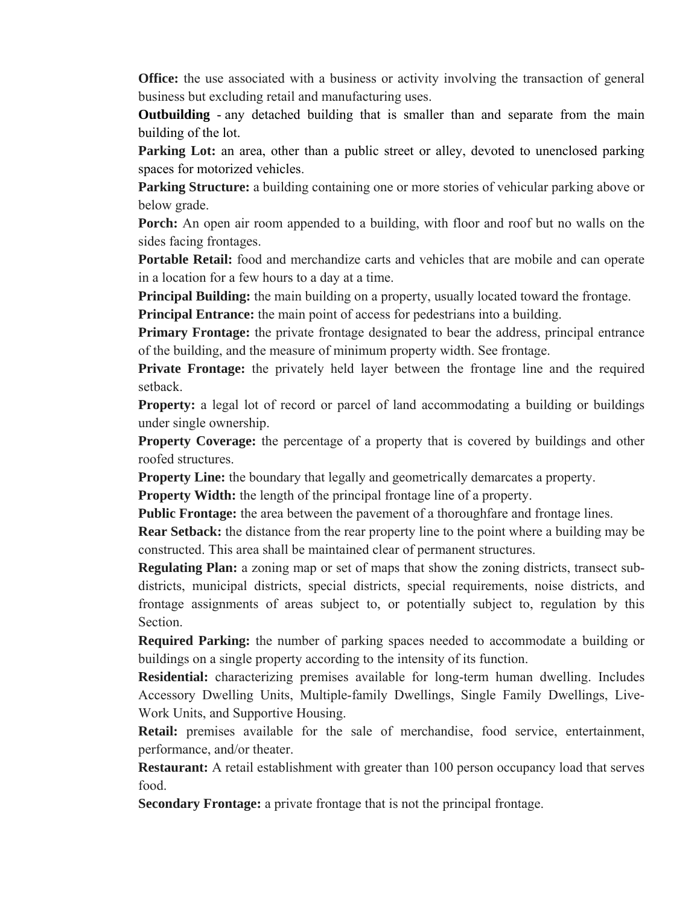**Office:** the use associated with a business or activity involving the transaction of general business but excluding retail and manufacturing uses.

**Outbuilding** - any detached building that is smaller than and separate from the main building of the lot.

**Parking Lot:** an area, other than a public street or alley, devoted to unenclosed parking spaces for motorized vehicles.

**Parking Structure:** a building containing one or more stories of vehicular parking above or below grade.

**Porch:** An open air room appended to a building, with floor and roof but no walls on the sides facing frontages.

**Portable Retail:** food and merchandize carts and vehicles that are mobile and can operate in a location for a few hours to a day at a time.

**Principal Building:** the main building on a property, usually located toward the frontage.

**Principal Entrance:** the main point of access for pedestrians into a building.

**Primary Frontage:** the private frontage designated to bear the address, principal entrance of the building, and the measure of minimum property width. See frontage.

**Private Frontage:** the privately held layer between the frontage line and the required setback.

**Property:** a legal lot of record or parcel of land accommodating a building or buildings under single ownership.

**Property Coverage:** the percentage of a property that is covered by buildings and other roofed structures.

**Property Line:** the boundary that legally and geometrically demarcates a property.

**Property Width:** the length of the principal frontage line of a property.

**Public Frontage:** the area between the pavement of a thoroughfare and frontage lines.

**Rear Setback:** the distance from the rear property line to the point where a building may be constructed. This area shall be maintained clear of permanent structures.

**Regulating Plan:** a zoning map or set of maps that show the zoning districts, transect subdistricts, municipal districts, special districts, special requirements, noise districts, and frontage assignments of areas subject to, or potentially subject to, regulation by this Section.

**Required Parking:** the number of parking spaces needed to accommodate a building or buildings on a single property according to the intensity of its function.

**Residential:** characterizing premises available for long-term human dwelling. Includes Accessory Dwelling Units, Multiple-family Dwellings, Single Family Dwellings, Live-Work Units, and Supportive Housing.

**Retail:** premises available for the sale of merchandise, food service, entertainment, performance, and/or theater.

**Restaurant:** A retail establishment with greater than 100 person occupancy load that serves food.

**Secondary Frontage:** a private frontage that is not the principal frontage.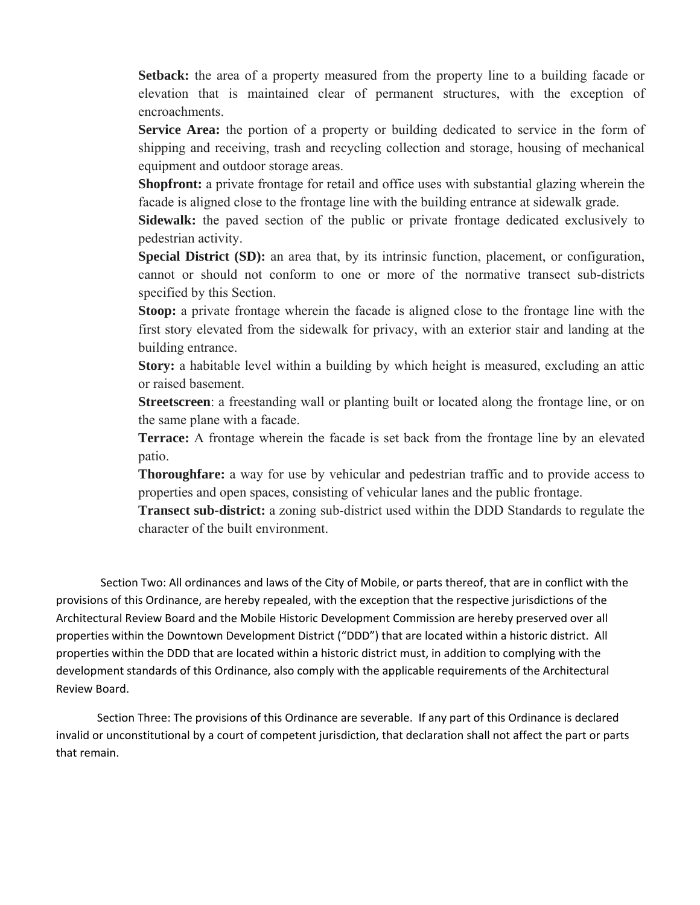**Setback:** the area of a property measured from the property line to a building facade or elevation that is maintained clear of permanent structures, with the exception of encroachments.

**Service Area:** the portion of a property or building dedicated to service in the form of shipping and receiving, trash and recycling collection and storage, housing of mechanical equipment and outdoor storage areas.

**Shopfront:** a private frontage for retail and office uses with substantial glazing wherein the facade is aligned close to the frontage line with the building entrance at sidewalk grade.

**Sidewalk:** the paved section of the public or private frontage dedicated exclusively to pedestrian activity.

**Special District (SD):** an area that, by its intrinsic function, placement, or configuration, cannot or should not conform to one or more of the normative transect sub-districts specified by this Section.

**Stoop:** a private frontage wherein the facade is aligned close to the frontage line with the first story elevated from the sidewalk for privacy, with an exterior stair and landing at the building entrance.

**Story:** a habitable level within a building by which height is measured, excluding an attic or raised basement.

**Streetscreen**: a freestanding wall or planting built or located along the frontage line, or on the same plane with a facade.

**Terrace:** A frontage wherein the facade is set back from the frontage line by an elevated patio.

**Thoroughfare:** a way for use by vehicular and pedestrian traffic and to provide access to properties and open spaces, consisting of vehicular lanes and the public frontage.

**Transect sub-district:** a zoning sub-district used within the DDD Standards to regulate the character of the built environment.

Section Two: All ordinances and laws of the City of Mobile, or parts thereof, that are in conflict with the provisions of this Ordinance, are hereby repealed, with the exception that the respective jurisdictions of the Architectural Review Board and the Mobile Historic Development Commission are hereby preserved over all properties within the Downtown Development District ("DDD") that are located within a historic district. All properties within the DDD that are located within a historic district must, in addition to complying with the development standards of this Ordinance, also comply with the applicable requirements of the Architectural Review Board.

Section Three: The provisions of this Ordinance are severable. If any part of this Ordinance is declared invalid or unconstitutional by a court of competent jurisdiction, that declaration shall not affect the part or parts that remain.